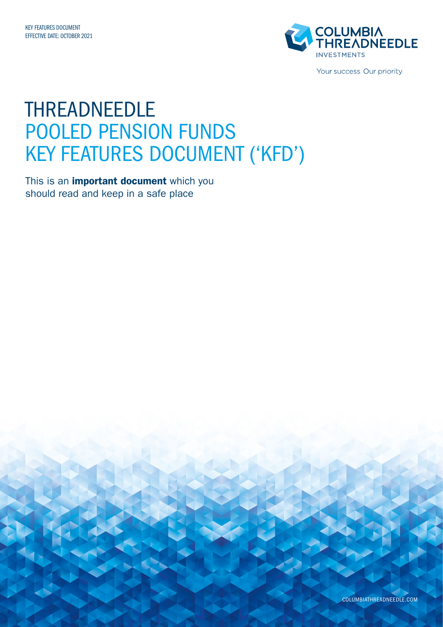

Your success. Our priority.

## THREADNEEDLE POOLED PENSION FUNDS KEY FEATURES DOCUMENT ('KFD')

This is an *important document* which you should read and keep in a safe place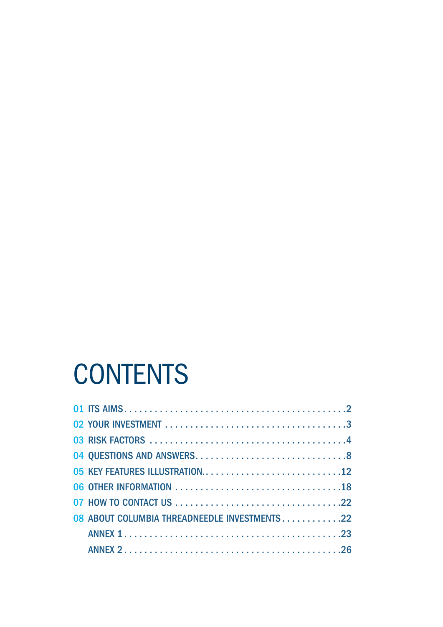# **CONTENTS**

| 05 KEY FEATURES ILLUSTRATION12                |
|-----------------------------------------------|
|                                               |
|                                               |
| 08 ABOUT COLUMBIA THREADNEEDLE INVESTMENTS 22 |
|                                               |
|                                               |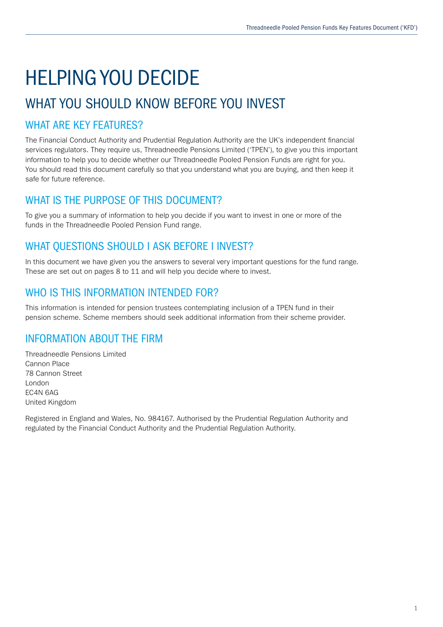# HELPING YOU DECIDE

## WHAT YOU SHOULD KNOW BEFORE YOU INVEST

## WHAT ARE KEY FEATURES?

The Financial Conduct Authority and Prudential Regulation Authority are the UK's independent financial services regulators. They require us, Threadneedle Pensions Limited ('TPEN'), to give you this important information to help you to decide whether our Threadneedle Pooled Pension Funds are right for you. You should read this document carefully so that you understand what you are buying, and then keep it safe for future reference.

## WHAT IS THE PURPOSE OF THIS DOCUMENT?

To give you a summary of information to help you decide if you want to invest in one or more of the funds in the Threadneedle Pooled Pension Fund range.

## WHAT QUESTIONS SHOULD I ASK BEFORE I INVEST?

In this document we have given you the answers to several very important questions for the fund range. These are set out on pages 8 to 11 and will help you decide where to invest.

## WHO IS THIS INFORMATION INTENDED FOR?

This information is intended for pension trustees contemplating inclusion of a TPEN fund in their pension scheme. Scheme members should seek additional information from their scheme provider.

## INFORMATION ABOUT THE FIRM

Threadneedle Pensions Limited Cannon Place 78 Cannon Street London EC4N 6AG United Kingdom

Registered in England and Wales, No. 984167. Authorised by the Prudential Regulation Authority and regulated by the Financial Conduct Authority and the Prudential Regulation Authority.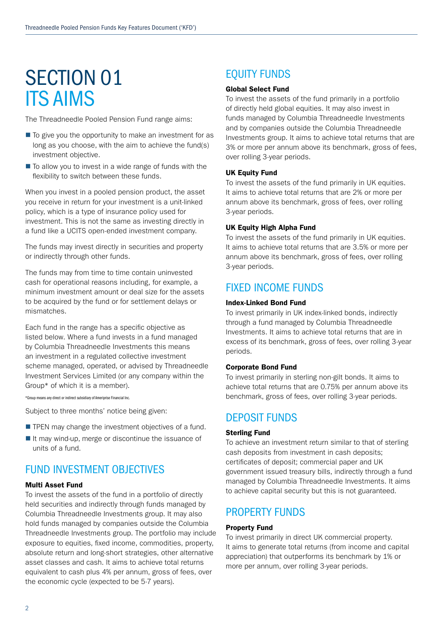## SECTION 01 ITS AIMS

The Threadneedle Pooled Pension Fund range aims:

- $\blacksquare$  To give you the opportunity to make an investment for as long as you choose, with the aim to achieve the fund(s) investment objective.
- $\blacksquare$  To allow you to invest in a wide range of funds with the flexibility to switch between these funds.

When you invest in a pooled pension product, the asset you receive in return for your investment is a unit-linked policy, which is a type of insurance policy used for investment. This is not the same as investing directly in a fund like a UCITS open-ended investment company.

The funds may invest directly in securities and property or indirectly through other funds.

The funds may from time to time contain uninvested cash for operational reasons including, for example, a minimum investment amount or deal size for the assets to be acquired by the fund or for settlement delays or mismatches.

Each fund in the range has a specific objective as listed below. Where a fund invests in a fund managed by Columbia Threadneedle Investments this means an investment in a regulated collective investment scheme managed, operated, or advised by Threadneedle Investment Services Limited (or any company within the Group\* of which it is a member).

\*Group means any direct or indirect subsidiary of Ameriprise Financial Inc.

Subject to three months' notice being given:

- $\blacksquare$  TPEN may change the investment objectives of a fund.
- $\blacksquare$  It may wind-up, merge or discontinue the issuance of units of a fund.

## FUND INVESTMENT OBJECTIVES

### Multi Asset Fund

To invest the assets of the fund in a portfolio of directly held securities and indirectly through funds managed by Columbia Threadneedle Investments group. It may also hold funds managed by companies outside the Columbia Threadneedle Investments group. The portfolio may include exposure to equities, fixed income, commodities, property, absolute return and long-short strategies, other alternative asset classes and cash. It aims to achieve total returns equivalent to cash plus 4% per annum, gross of fees, over the economic cycle (expected to be 5-7 years).

## EQUITY FUNDS

### Global Select Fund

To invest the assets of the fund primarily in a portfolio of directly held global equities. It may also invest in funds managed by Columbia Threadneedle Investments and by companies outside the Columbia Threadneedle Investments group. It aims to achieve total returns that are 3% or more per annum above its benchmark, gross of fees, over rolling 3-year periods.

### UK Equity Fund

To invest the assets of the fund primarily in UK equities. It aims to achieve total returns that are 2% or more per annum above its benchmark, gross of fees, over rolling 3-year periods.

### UK Equity High Alpha Fund

To invest the assets of the fund primarily in UK equities. It aims to achieve total returns that are 3.5% or more per annum above its benchmark, gross of fees, over rolling 3-year periods.

### FIXED INCOME FUNDS

### Index-Linked Bond Fund

To invest primarily in UK index-linked bonds, indirectly through a fund managed by Columbia Threadneedle Investments. It aims to achieve total returns that are in excess of its benchmark, gross of fees, over rolling 3-year periods.

### Corporate Bond Fund

To invest primarily in sterling non-gilt bonds. It aims to achieve total returns that are 0.75% per annum above its benchmark, gross of fees, over rolling 3-year periods.

### DEPOSIT FUNDS

### Sterling Fund

To achieve an investment return similar to that of sterling cash deposits from investment in cash deposits; certificates of deposit; commercial paper and UK government issued treasury bills, indirectly through a fund managed by Columbia Threadneedle Investments. It aims to achieve capital security but this is not guaranteed.

## PROPERTY FUNDS

### Property Fund

To invest primarily in direct UK commercial property. It aims to generate total returns (from income and capital appreciation) that outperforms its benchmark by 1% or more per annum, over rolling 3-year periods.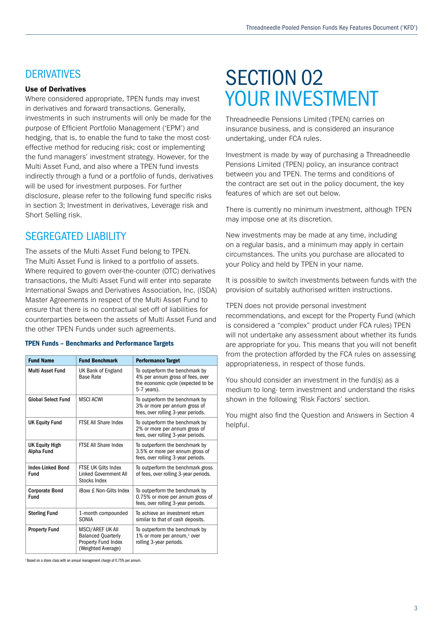## **DERIVATIVES**

### Use of Derivatives

Where considered appropriate, TPEN funds may invest in derivatives and forward transactions. Generally, investments in such instruments will only be made for the purpose of Efficient Portfolio Management ('EPM') and hedging, that is, to enable the fund to take the most costeffective method for reducing risk; cost or implementing the fund managers' investment strategy. However, for the Multi Asset Fund, and also where a TPEN fund invests indirectly through a fund or a portfolio of funds, derivatives will be used for investment purposes. For further disclosure, please refer to the following fund specific risks in section 3; Investment in derivatives, Leverage risk and Short Selling risk.

## **SEGREGATED LIABILITY**

The assets of the Multi Asset Fund belong to TPEN. The Multi Asset Fund is linked to a portfolio of assets. Where required to govern over-the-counter (OTC) derivatives transactions, the Multi Asset Fund will enter into separate International Swaps and Derivatives Association, Inc. (ISDA) Master Agreements in respect of the Multi Asset Fund to ensure that there is no contractual set-off of liabilities for counterparties between the assets of Multi Asset Fund and the other TPEN Funds under such agreements.

### TPEN Funds – Benchmarks and Performance Targets

| <b>Fund Name</b>                        | <b>Fund Benchmark</b>                                                                      | <b>Performance Target</b>                                                                                               |
|-----------------------------------------|--------------------------------------------------------------------------------------------|-------------------------------------------------------------------------------------------------------------------------|
| Multi Asset Fund                        | UK Bank of England<br><b>Base Rate</b>                                                     | To outperform the benchmark by<br>4% per annum gross of fees, over<br>the economic cycle (expected to be<br>5-7 years). |
| <b>Global Select Fund</b>               | <b>MSCI ACWI</b>                                                                           | To outperform the benchmark by<br>3% or more per annum gross of<br>fees, over rolling 3-year periods.                   |
| <b>UK Equity Fund</b>                   | FTSE All Share Index                                                                       | To outperform the benchmark by<br>2% or more per annum gross of<br>fees, over rolling 3-year periods.                   |
| UK Equity High<br>Alpha Fund            | <b>FTSE All Share Index</b>                                                                | To outperform the benchmark by<br>3.5% or more per annum gross of<br>fees, over rolling 3-year periods.                 |
| <b>Index-Linked Bond</b><br><b>Fund</b> | <b>FTSE UK Gilts Index</b><br>Linked Government All<br>Stocks Index                        | To outperform the benchmark gross<br>of fees, over rolling 3-year periods.                                              |
| <b>Corporate Bond</b><br><b>Fund</b>    | iBoxx £ Non-Gilts Index                                                                    | To outperform the benchmark by<br>0.75% or more per annum gross of<br>fees, over rolling 3-year periods.                |
| <b>Sterling Fund</b>                    | 1-month compounded<br><b>SONIA</b>                                                         | To achieve an investment return<br>similar to that of cash deposits.                                                    |
| <b>Property Fund</b>                    | MSCI/AREF UK All<br><b>Balanced Quarterly</b><br>Property Fund Index<br>(Weighted Average) | To outperform the benchmark by<br>1% or more per annum, $1$ over<br>rolling 3-year periods.                             |

1 Based on a share class with an annual management charge of 0.75% per annum.

## SECTION 02 YOUR INVESTMENT

Threadneedle Pensions Limited (TPEN) carries on insurance business, and is considered an insurance undertaking, under FCA rules.

Investment is made by way of purchasing a Threadneedle Pensions Limited (TPEN) policy, an insurance contract between you and TPEN. The terms and conditions of the contract are set out in the policy document, the key features of which are set out below.

There is currently no minimum investment, although TPEN may impose one at its discretion.

New investments may be made at any time, including on a regular basis, and a minimum may apply in certain circumstances. The units you purchase are allocated to your Policy and held by TPEN in your name.

It is possible to switch investments between funds with the provision of suitably authorised written instructions.

TPEN does not provide personal investment recommendations, and except for the Property Fund (which is considered a "complex" product under FCA rules) TPEN will not undertake any assessment about whether its funds are appropriate for you. This means that you will not benefit from the protection afforded by the FCA rules on assessing appropriateness, in respect of those funds.

You should consider an investment in the fund(s) as a medium to long- term investment and understand the risks shown in the following 'Risk Factors' section.

You might also find the Question and Answers in Section 4 helpful.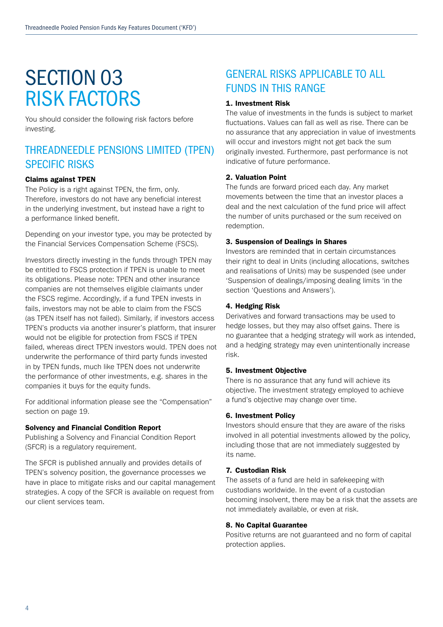## SECTION 03 RISK FACTORS

You should consider the following risk factors before investing.

## THREADNEEDLE PENSIONS LIMITED (TPEN) SPECIFIC RISKS

### Claims against TPEN

The Policy is a right against TPEN, the firm, only. Therefore, investors do not have any beneficial interest in the underlying investment, but instead have a right to a performance linked benefit.

Depending on your investor type, you may be protected by the Financial Services Compensation Scheme (FSCS).

Investors directly investing in the funds through TPEN may be entitled to FSCS protection if TPEN is unable to meet its obligations. Please note: TPEN and other insurance companies are not themselves eligible claimants under the FSCS regime. Accordingly, if a fund TPEN invests in fails, investors may not be able to claim from the FSCS (as TPEN itself has not failed). Similarly, if investors access TPEN's products via another insurer's platform, that insurer would not be eligible for protection from FSCS if TPEN failed, whereas direct TPEN investors would. TPEN does not underwrite the performance of third party funds invested in by TPEN funds, much like TPEN does not underwrite the performance of other investments, e.g. shares in the companies it buys for the equity funds.

For additional information please see the "Compensation" section on page 19.

### Solvency and Financial Condition Report

Publishing a Solvency and Financial Condition Report (SFCR) is a regulatory requirement.

The SFCR is published annually and provides details of TPEN's solvency position, the governance processes we have in place to mitigate risks and our capital management strategies. A copy of the SFCR is available on request from our client services team.

## GENERAL RISKS APPLICABLE TO ALL FUNDS IN THIS RANGE

### 1. Investment Risk

The value of investments in the funds is subject to market fluctuations. Values can fall as well as rise. There can be no assurance that any appreciation in value of investments will occur and investors might not get back the sum originally invested. Furthermore, past performance is not indicative of future performance.

### 2. Valuation Point

The funds are forward priced each day. Any market movements between the time that an investor places a deal and the next calculation of the fund price will affect the number of units purchased or the sum received on redemption.

### 3. Suspension of Dealings in Shares

Investors are reminded that in certain circumstances their right to deal in Units (including allocations, switches and realisations of Units) may be suspended (see under 'Suspension of dealings/imposing dealing limits 'in the section 'Questions and Answers').

### 4. Hedging Risk

Derivatives and forward transactions may be used to hedge losses, but they may also offset gains. There is no guarantee that a hedging strategy will work as intended, and a hedging strategy may even unintentionally increase risk.

### 5. Investment Objective

There is no assurance that any fund will achieve its objective. The investment strategy employed to achieve a fund's objective may change over time.

### 6. Investment Policy

Investors should ensure that they are aware of the risks involved in all potential investments allowed by the policy, including those that are not immediately suggested by its name.

### 7. Custodian Risk

The assets of a fund are held in safekeeping with custodians worldwide. In the event of a custodian becoming insolvent, there may be a risk that the assets are not immediately available, or even at risk.

### 8. No Capital Guarantee

Positive returns are not guaranteed and no form of capital protection applies.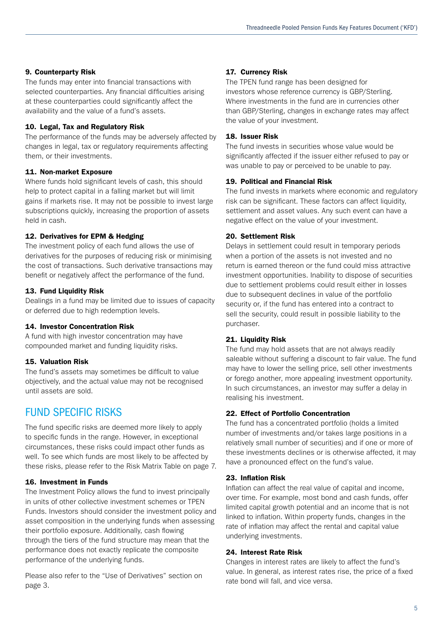### 9. Counterparty Risk

The funds may enter into financial transactions with selected counterparties. Any financial difficulties arising at these counterparties could significantly affect the availability and the value of a fund's assets.

### 10. Legal, Tax and Regulatory Risk

The performance of the funds may be adversely affected by changes in legal, tax or regulatory requirements affecting them, or their investments.

### 11. Non-market Exposure

Where funds hold significant levels of cash, this should help to protect capital in a falling market but will limit gains if markets rise. It may not be possible to invest large subscriptions quickly, increasing the proportion of assets held in cash.

### 12. Derivatives for EPM & Hedging

The investment policy of each fund allows the use of derivatives for the purposes of reducing risk or minimising the cost of transactions. Such derivative transactions may benefit or negatively affect the performance of the fund.

### 13. Fund Liquidity Risk

Dealings in a fund may be limited due to issues of capacity or deferred due to high redemption levels.

### 14. Investor Concentration Risk

A fund with high investor concentration may have compounded market and funding liquidity risks.

### 15. Valuation Risk

The fund's assets may sometimes be difficult to value objectively, and the actual value may not be recognised until assets are sold.

## FUND SPECIFIC RISKS

The fund specific risks are deemed more likely to apply to specific funds in the range. However, in exceptional circumstances, these risks could impact other funds as well. To see which funds are most likely to be affected by these risks, please refer to the Risk Matrix Table on page 7.

### 16. Investment in Funds

The Investment Policy allows the fund to invest principally in units of other collective investment schemes or TPEN Funds. Investors should consider the investment policy and asset composition in the underlying funds when assessing their portfolio exposure. Additionally, cash flowing through the tiers of the fund structure may mean that the performance does not exactly replicate the composite performance of the underlying funds.

Please also refer to the "Use of Derivatives" section on page 3.

### 17. Currency Risk

The TPEN fund range has been designed for investors whose reference currency is GBP/Sterling. Where investments in the fund are in currencies other than GBP/Sterling, changes in exchange rates may affect the value of your investment.

### 18. Issuer Risk

The fund invests in securities whose value would be significantly affected if the issuer either refused to pay or was unable to pay or perceived to be unable to pay.

### 19. Political and Financial Risk

The fund invests in markets where economic and regulatory risk can be significant. These factors can affect liquidity, settlement and asset values. Any such event can have a negative effect on the value of your investment.

### 20. Settlement Risk

Delays in settlement could result in temporary periods when a portion of the assets is not invested and no return is earned thereon or the fund could miss attractive investment opportunities. Inability to dispose of securities due to settlement problems could result either in losses due to subsequent declines in value of the portfolio security or, if the fund has entered into a contract to sell the security, could result in possible liability to the purchaser.

### 21. Liquidity Risk

The fund may hold assets that are not always readily saleable without suffering a discount to fair value. The fund may have to lower the selling price, sell other investments or forego another, more appealing investment opportunity. In such circumstances, an investor may suffer a delay in realising his investment.

### 22. Effect of Portfolio Concentration

The fund has a concentrated portfolio (holds a limited number of investments and/or takes large positions in a relatively small number of securities) and if one or more of these investments declines or is otherwise affected, it may have a pronounced effect on the fund's value.

### 23. Inflation Risk

Inflation can affect the real value of capital and income, over time. For example, most bond and cash funds, offer limited capital growth potential and an income that is not linked to inflation. Within property funds, changes in the rate of inflation may affect the rental and capital value underlying investments.

### 24. Interest Rate Risk

Changes in interest rates are likely to affect the fund's value. In general, as interest rates rise, the price of a fixed rate bond will fall, and vice versa.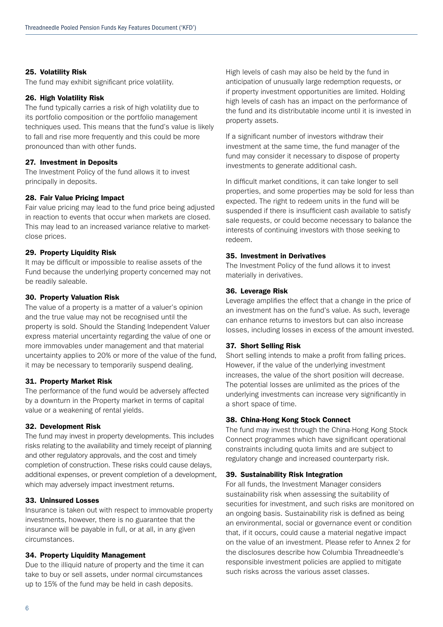### 25. Volatility Risk

The fund may exhibit significant price volatility.

#### 26. High Volatility Risk

The fund typically carries a risk of high volatility due to its portfolio composition or the portfolio management techniques used. This means that the fund's value is likely to fall and rise more frequently and this could be more pronounced than with other funds.

### 27. Investment in Deposits

The Investment Policy of the fund allows it to invest principally in deposits.

#### 28. Fair Value Pricing Impact

Fair value pricing may lead to the fund price being adjusted in reaction to events that occur when markets are closed. This may lead to an increased variance relative to marketclose prices.

#### 29. Property Liquidity Risk

It may be difficult or impossible to realise assets of the Fund because the underlying property concerned may not be readily saleable.

### 30. Property Valuation Risk

The value of a property is a matter of a valuer's opinion and the true value may not be recognised until the property is sold. Should the Standing Independent Valuer express material uncertainty regarding the value of one or more immovables under management and that material uncertainty applies to 20% or more of the value of the fund, it may be necessary to temporarily suspend dealing.

### 31. Property Market Risk

The performance of the fund would be adversely affected by a downturn in the Property market in terms of capital value or a weakening of rental yields.

#### 32. Development Risk

The fund may invest in property developments. This includes risks relating to the availability and timely receipt of planning and other regulatory approvals, and the cost and timely completion of construction. These risks could cause delays, additional expenses, or prevent completion of a development, which may adversely impact investment returns.

### 33. Uninsured Losses

Insurance is taken out with respect to immovable property investments, however, there is no guarantee that the insurance will be payable in full, or at all, in any given circumstances.

#### 34. Property Liquidity Management

Due to the illiquid nature of property and the time it can take to buy or sell assets, under normal circumstances up to 15% of the fund may be held in cash deposits.

High levels of cash may also be held by the fund in anticipation of unusually large redemption requests, or if property investment opportunities are limited. Holding high levels of cash has an impact on the performance of the fund and its distributable income until it is invested in property assets.

If a significant number of investors withdraw their investment at the same time, the fund manager of the fund may consider it necessary to dispose of property investments to generate additional cash.

In difficult market conditions, it can take longer to sell properties, and some properties may be sold for less than expected. The right to redeem units in the fund will be suspended if there is insufficient cash available to satisfy sale requests, or could become necessary to balance the interests of continuing investors with those seeking to redeem.

#### 35. Investment in Derivatives

The Investment Policy of the fund allows it to invest materially in derivatives.

### 36. Leverage Risk

Leverage amplifies the effect that a change in the price of an investment has on the fund's value. As such, leverage can enhance returns to investors but can also increase losses, including losses in excess of the amount invested.

### 37. Short Selling Risk

Short selling intends to make a profit from falling prices. However, if the value of the underlying investment increases, the value of the short position will decrease. The potential losses are unlimited as the prices of the underlying investments can increase very significantly in a short space of time.

### 38. China-Hong Kong Stock Connect

The fund may invest through the China-Hong Kong Stock Connect programmes which have significant operational constraints including quota limits and are subject to regulatory change and increased counterparty risk.

### 39. Sustainability Risk Integration

For all funds, the Investment Manager considers sustainability risk when assessing the suitability of securities for investment, and such risks are monitored on an ongoing basis. Sustainability risk is defined as being an environmental, social or governance event or condition that, if it occurs, could cause a material negative impact on the value of an investment. Please refer to Annex 2 for the disclosures describe how Columbia Threadneedle's responsible investment policies are applied to mitigate such risks across the various asset classes.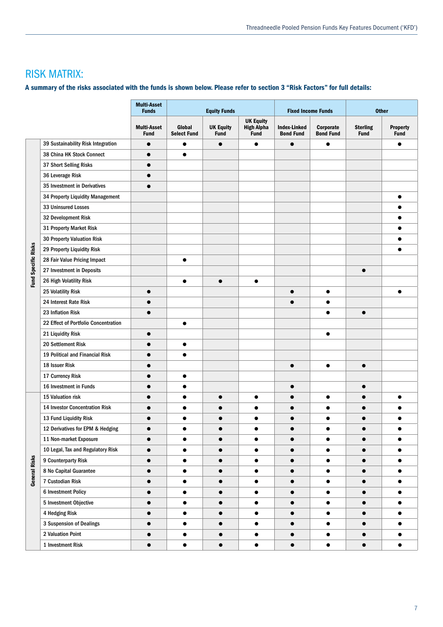## RISK MATRIX:

### A summary of the risks associated with the funds is shown below. Please refer to section 3 "Risk Factors" for full details:

|                     |                                       | <b>Multi-Asset</b><br><b>Funds</b> |                              | <b>Equity Funds</b>             |                                                      | <b>Fixed Income Funds</b>               |                               |                                | <b>Other</b>                   |
|---------------------|---------------------------------------|------------------------------------|------------------------------|---------------------------------|------------------------------------------------------|-----------------------------------------|-------------------------------|--------------------------------|--------------------------------|
|                     |                                       | <b>Multi-Asset</b><br><b>Fund</b>  | Global<br><b>Select Fund</b> | <b>UK Equity</b><br><b>Fund</b> | <b>UK Equity</b><br><b>High Alpha</b><br><b>Fund</b> | <b>Index-Linked</b><br><b>Bond Fund</b> | Corporate<br><b>Bond Fund</b> | <b>Sterling</b><br><b>Fund</b> | <b>Property</b><br><b>Fund</b> |
|                     | 39 Sustainability Risk Integration    | $\bullet$                          | $\bullet$                    |                                 |                                                      |                                         |                               |                                |                                |
|                     | 38 China HK Stock Connect             | $\bullet$                          | $\bullet$                    |                                 |                                                      |                                         |                               |                                |                                |
|                     | 37 Short Selling Risks                | $\bullet$                          |                              |                                 |                                                      |                                         |                               |                                |                                |
|                     | 36 Leverage Risk                      |                                    |                              |                                 |                                                      |                                         |                               |                                |                                |
|                     | 35 Investment in Derivatives          | $\bullet$                          |                              |                                 |                                                      |                                         |                               |                                |                                |
|                     | 34 Property Liquidity Management      |                                    |                              |                                 |                                                      |                                         |                               |                                |                                |
|                     | 33 Uninsured Losses                   |                                    |                              |                                 |                                                      |                                         |                               |                                |                                |
|                     | 32 Development Risk                   |                                    |                              |                                 |                                                      |                                         |                               |                                | $\bullet$                      |
|                     | 31 Property Market Risk               |                                    |                              |                                 |                                                      |                                         |                               |                                |                                |
|                     | 30 Property Valuation Risk            |                                    |                              |                                 |                                                      |                                         |                               |                                |                                |
| Fund Specific Risks | 29 Property Liquidity Risk            |                                    |                              |                                 |                                                      |                                         |                               |                                |                                |
|                     | 28 Fair Value Pricing Impact          |                                    |                              |                                 |                                                      |                                         |                               |                                |                                |
|                     | 27 Investment in Deposits             |                                    |                              |                                 |                                                      |                                         |                               | $\bullet$                      |                                |
|                     | 26 High Volatility Risk               |                                    | ▲                            | $\bullet$                       |                                                      |                                         |                               |                                |                                |
|                     | 25 Volatility Risk                    | $\bullet$                          |                              |                                 |                                                      |                                         | $\bullet$                     |                                |                                |
|                     | 24 Interest Rate Risk                 | $\bullet$                          |                              |                                 |                                                      |                                         | ●                             |                                |                                |
|                     | 23 Inflation Risk                     | $\bullet$                          |                              |                                 |                                                      |                                         | $\bullet$                     | $\bullet$                      |                                |
|                     | 22 Effect of Portfolio Concentration  |                                    | $\bullet$                    |                                 |                                                      |                                         |                               |                                |                                |
|                     | 21 Liquidity Risk                     | $\bullet$                          |                              |                                 |                                                      |                                         | $\bullet$                     |                                |                                |
|                     | 20 Settlement Risk                    |                                    | ●                            |                                 |                                                      |                                         |                               |                                |                                |
|                     | 19 Political and Financial Risk       |                                    |                              |                                 |                                                      |                                         |                               |                                |                                |
|                     | 18 Issuer Risk                        | $\bullet$                          |                              |                                 |                                                      |                                         | $\bullet$                     | $\bullet$                      |                                |
|                     | 17 Currency Risk                      |                                    |                              |                                 |                                                      |                                         |                               |                                |                                |
|                     | 16 Investment in Funds                | $\bullet$                          | $\bullet$                    |                                 |                                                      |                                         |                               | $\bullet$                      |                                |
|                     | 15 Valuation risk                     | $\bullet$                          | $\bullet$                    | $\bullet$                       |                                                      |                                         |                               |                                | $\bullet$                      |
|                     | <b>14 Investor Concentration Risk</b> |                                    |                              |                                 |                                                      |                                         |                               |                                |                                |
|                     | 13 Fund Liquidity Risk                |                                    |                              |                                 |                                                      |                                         |                               |                                |                                |
|                     | 12 Derivatives for EPM & Hedging      |                                    |                              |                                 |                                                      |                                         |                               |                                |                                |
|                     | 11 Non-market Exposure                |                                    |                              | 0                               | $\bullet$                                            |                                         | $\bullet$                     |                                | $\bullet$                      |
|                     | 10 Legal, Tax and Regulatory Risk     |                                    |                              |                                 |                                                      |                                         |                               |                                |                                |
|                     | 9 Counterparty Risk                   | ●                                  | $\bullet$                    |                                 |                                                      |                                         | $\bullet$                     |                                |                                |
|                     | 8 No Capital Guarantee                | $\bullet$                          | $\bullet$                    | 0                               | $\bullet$                                            |                                         | $\bullet$                     |                                | $\bullet$                      |
| General Risks       | 7 Custodian Risk                      | $\bullet$                          | $\bullet$                    | $\bullet$                       | $\bullet$                                            | ●                                       | $\bullet$                     |                                | $\bullet$                      |
|                     | <b>6 Investment Policy</b>            |                                    |                              |                                 |                                                      |                                         |                               |                                |                                |
|                     | 5 Investment Objective                | $\bullet$                          | $\bullet$                    | $\bullet$                       | $\bullet$                                            |                                         | $\bullet$                     |                                | $\bullet$                      |
|                     | 4 Hedging Risk                        | $\bullet$                          | $\bullet$                    | $\bullet$                       | $\bullet$                                            |                                         | $\bullet$                     |                                | $\bullet$                      |
|                     | 3 Suspension of Dealings              |                                    |                              | 0                               | $\bullet$                                            |                                         | $\bullet$                     |                                | $\bullet$                      |
|                     | 2 Valuation Point                     | ●                                  | $\bullet$                    | ●                               | $\bullet$                                            |                                         | $\bullet$                     |                                | $\bullet$                      |
|                     | 1 Investment Risk                     | $\bullet$                          | $\bullet$                    | $\bullet$                       | $\bullet$                                            |                                         | $\bullet$                     | $\bullet$                      | $\bullet$                      |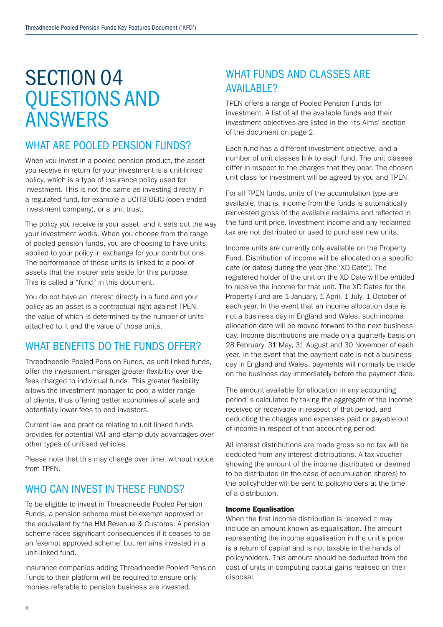## SECTION 04 QUESTIONS AND ANSWERS

## WHAT ARE POOLED PENSION FUNDS?

When you invest in a pooled pension product, the asset you receive in return for your investment is a unit-linked policy, which is a type of insurance policy used for investment. This is not the same as investing directly in a regulated fund, for example a UCITS OEIC (open-ended investment company), or a unit trust.

The policy you receive is your asset, and it sets out the way your investment works. When you choose from the range of pooled pension funds, you are choosing to have units applied to your policy in exchange for your contributions. The performance of these units is linked to a pool of assets that the insurer sets aside for this purpose. This is called a "fund" in this document.

You do not have an interest directly in a fund and your policy as an asset is a contractual right against TPEN, the value of which is determined by the number of units attached to it and the value of those units.

## WHAT BENEFITS DO THE FUNDS OFFER?

Threadneedle Pooled Pension Funds, as unit-linked funds, offer the investment manager greater flexibility over the fees charged to individual funds. This greater flexibility allows the investment manager to pool a wider range of clients, thus offering better economies of scale and potentially lower fees to end investors.

Current law and practice relating to unit linked funds provides for potential VAT and stamp duty advantages over other types of unitised vehicles.

Please note that this may change over time, without notice from TPEN.

## WHO CAN INVEST IN THESE FUNDS?

To be eligible to invest in Threadneedle Pooled Pension Funds, a pension scheme must be exempt approved or the equivalent by the HM Revenue & Customs. A pension scheme faces significant consequences if it ceases to be an 'exempt approved scheme' but remains invested in a unit-linked fund.

Insurance companies adding Threadneedle Pooled Pension Funds to their platform will be required to ensure only monies referable to pension business are invested.

## WHAT FUNDS AND CLASSES ARE **AVAIL ARLE?**

TPEN offers a range of Pooled Pension Funds for investment. A list of all the available funds and their investment objectives are listed in the 'Its Aims' section of the document on page 2.

Each fund has a different investment objective, and a number of unit classes link to each fund. The unit classes differ in respect to the charges that they bear. The chosen unit class for investment will be agreed by you and TPEN.

For all TPEN funds, units of the accumulation type are available, that is, income from the funds is automatically reinvested gross of the available reclaims and reflected in the fund unit price. Investment income and any reclaimed tax are not distributed or used to purchase new units.

Income units are currently only available on the Property Fund. Distribution of income will be allocated on a specific date (or dates) during the year (the 'XD Date'). The registered holder of the unit on the XD Date will be entitled to receive the income for that unit. The XD Dates for the Property Fund are 1 January, 1 April, 1 July, 1 October of each year. In the event that an income allocation date is not a business day in England and Wales, such income allocation date will be moved forward to the next business day. Income distributions are made on a quarterly basis on 28 February, 31 May, 31 August and 30 November of each year. In the event that the payment date is not a business day in England and Wales, payments will normally be made on the business day immediately before the payment date.

The amount available for allocation in any accounting period is calculated by taking the aggregate of the income received or receivable in respect of that period, and deducting the charges and expenses paid or payable out of income in respect of that accounting period.

All interest distributions are made gross so no tax will be deducted from any interest distributions. A tax voucher showing the amount of the income distributed or deemed to be distributed (in the case of accumulation shares) to the policyholder will be sent to policyholders at the time of a distribution.

### Income Equalisation

When the first income distribution is received it may include an amount known as equalisation. The amount representing the income equalisation in the unit's price is a return of capital and is not taxable in the hands of policyholders. This amount should be deducted from the cost of units in computing capital gains realised on their disposal.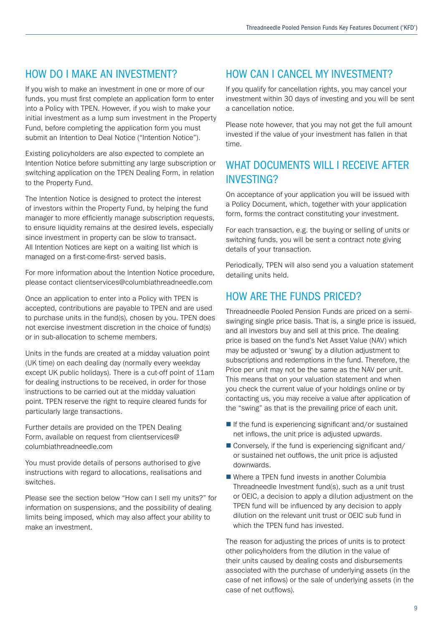## HOW DO I MAKE AN INVESTMENT?

If you wish to make an investment in one or more of our funds, you must first complete an application form to enter into a Policy with TPEN. However, if you wish to make your initial investment as a lump sum investment in the Property Fund, before completing the application form you must submit an Intention to Deal Notice ("Intention Notice").

Existing policyholders are also expected to complete an Intention Notice before submitting any large subscription or switching application on the TPEN Dealing Form, in relation to the Property Fund.

The Intention Notice is designed to protect the interest of investors within the Property Fund, by helping the fund manager to more efficiently manage subscription requests, to ensure liquidity remains at the desired levels, especially since investment in property can be slow to transact. All Intention Notices are kept on a waiting list which is managed on a first-come-first- served basis.

For more information about the Intention Notice procedure, please contact clientservices@columbiathreadneedle.com

Once an application to enter into a Policy with TPEN is accepted, contributions are payable to TPEN and are used to purchase units in the fund(s), chosen by you. TPEN does not exercise investment discretion in the choice of fund(s) or in sub-allocation to scheme members.

Units in the funds are created at a midday valuation point (UK time) on each dealing day (normally every weekday except UK public holidays). There is a cut-off point of 11am for dealing instructions to be received, in order for those instructions to be carried out at the midday valuation point. TPEN reserve the right to require cleared funds for particularly large transactions.

Further details are provided on the TPEN Dealing Form, available on request from clientservices@ columbiathreadneedle.com

You must provide details of persons authorised to give instructions with regard to allocations, realisations and switches.

Please see the section below "How can I sell my units?" for information on suspensions, and the possibility of dealing limits being imposed, which may also affect your ability to make an investment.

## HOW CAN I CANCEL MY INVESTMENT?

If you qualify for cancellation rights, you may cancel your investment within 30 days of investing and you will be sent a cancellation notice.

Please note however, that you may not get the full amount invested if the value of your investment has fallen in that time.

## WHAT DOCUMENTS WILL LRECEIVE AFTER INVESTING?

On acceptance of your application you will be issued with a Policy Document, which, together with your application form, forms the contract constituting your investment.

For each transaction, e.g. the buying or selling of units or switching funds, you will be sent a contract note giving details of your transaction.

Periodically, TPEN will also send you a valuation statement detailing units held.

## HOW ARE THE FUNDS PRICED?

Threadneedle Pooled Pension Funds are priced on a semiswinging single price basis. That is, a single price is issued, and all investors buy and sell at this price. The dealing price is based on the fund's Net Asset Value (NAV) which may be adjusted or 'swung' by a dilution adjustment to subscriptions and redemptions in the fund. Therefore, the Price per unit may not be the same as the NAV per unit. This means that on your valuation statement and when you check the current value of your holdings online or by contacting us, you may receive a value after application of the "swing" as that is the prevailing price of each unit.

- $\blacksquare$  If the fund is experiencing significant and/or sustained net inflows, the unit price is adjusted upwards.
- $\blacksquare$  Conversely, if the fund is experiencing significant and/ or sustained net outflows, the unit price is adjusted downwards.
- $\blacksquare$  Where a TPEN fund invests in another Columbia Threadneedle Investment fund(s), such as a unit trust or OEIC, a decision to apply a dilution adjustment on the TPEN fund will be influenced by any decision to apply dilution on the relevant unit trust or OEIC sub fund in which the TPEN fund has invested.

The reason for adjusting the prices of units is to protect other policyholders from the dilution in the value of their units caused by dealing costs and disbursements associated with the purchase of underlying assets (in the case of net inflows) or the sale of underlying assets (in the case of net outflows).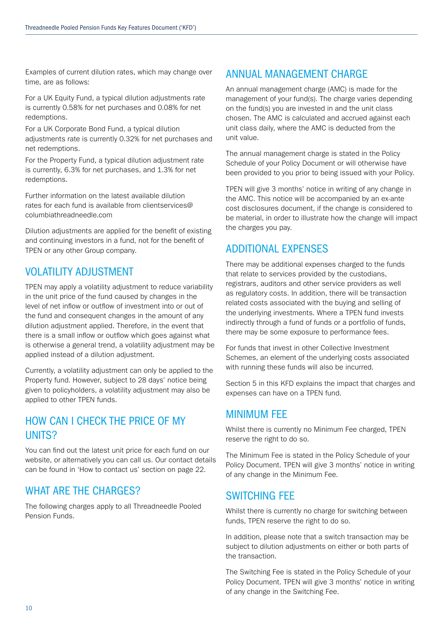Examples of current dilution rates, which may change over time, are as follows:

For a UK Equity Fund, a typical dilution adjustments rate is currently 0.58% for net purchases and 0.08% for net redemptions.

For a UK Corporate Bond Fund, a typical dilution adjustments rate is currently 0.32% for net purchases and net redemptions.

For the Property Fund, a typical dilution adjustment rate is currently, 6.3% for net purchases, and 1.3% for net redemptions.

Further information on the latest available dilution rates for each fund is available from clientservices@ columbiathreadneedle.com

Dilution adjustments are applied for the benefit of existing and continuing investors in a fund, not for the benefit of TPEN or any other Group company.

## VOLATILITY ADJUSTMENT

TPEN may apply a volatility adjustment to reduce variability in the unit price of the fund caused by changes in the level of net inflow or outflow of investment into or out of the fund and consequent changes in the amount of any dilution adjustment applied. Therefore, in the event that there is a small inflow or outflow which goes against what is otherwise a general trend, a volatility adjustment may be applied instead of a dilution adjustment.

Currently, a volatility adjustment can only be applied to the Property fund. However, subject to 28 days' notice being given to policyholders, a volatility adjustment may also be applied to other TPEN funds.

## HOW CAN I CHECK THE PRICE OF MY UNITS?

You can find out the latest unit price for each fund on our website, or alternatively you can call us. Our contact details can be found in 'How to contact us' section on page 22.

## WHAT ARE THE CHARGES?

The following charges apply to all Threadneedle Pooled Pension Funds.

## ANNUAL MANAGEMENT CHARGE

An annual management charge (AMC) is made for the management of your fund(s). The charge varies depending on the fund(s) you are invested in and the unit class chosen. The AMC is calculated and accrued against each unit class daily, where the AMC is deducted from the unit value.

The annual management charge is stated in the Policy Schedule of your Policy Document or will otherwise have been provided to you prior to being issued with your Policy.

TPEN will give 3 months' notice in writing of any change in the AMC. This notice will be accompanied by an ex-ante cost disclosures document, if the change is considered to be material, in order to illustrate how the change will impact the charges you pay.

## ADDITIONAL EXPENSES

There may be additional expenses charged to the funds that relate to services provided by the custodians, registrars, auditors and other service providers as well as regulatory costs. In addition, there will be transaction related costs associated with the buying and selling of the underlying investments. Where a TPEN fund invests indirectly through a fund of funds or a portfolio of funds, there may be some exposure to performance fees.

For funds that invest in other Collective Investment Schemes, an element of the underlying costs associated with running these funds will also be incurred.

Section 5 in this KFD explains the impact that charges and expenses can have on a TPEN fund.

## MINIMUM FEE

Whilst there is currently no Minimum Fee charged, TPEN reserve the right to do so.

The Minimum Fee is stated in the Policy Schedule of your Policy Document. TPEN will give 3 months' notice in writing of any change in the Minimum Fee.

## SWITCHING FEE

Whilst there is currently no charge for switching between funds, TPEN reserve the right to do so.

In addition, please note that a switch transaction may be subject to dilution adjustments on either or both parts of the transaction.

The Switching Fee is stated in the Policy Schedule of your Policy Document. TPEN will give 3 months' notice in writing of any change in the Switching Fee.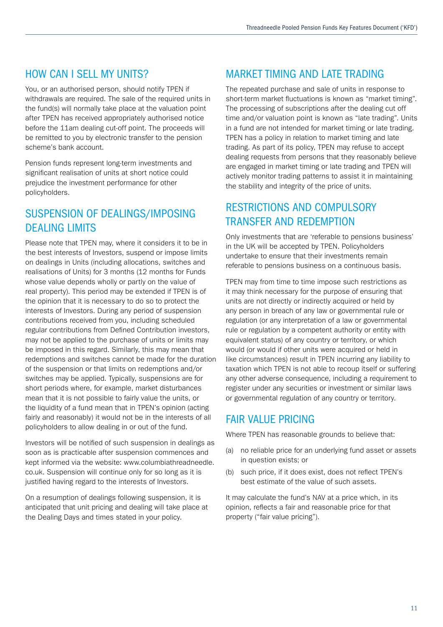## HOW CAN I SFI L MY UNITS?

You, or an authorised person, should notify TPEN if withdrawals are required. The sale of the required units in the fund(s) will normally take place at the valuation point after TPEN has received appropriately authorised notice before the 11am dealing cut-off point. The proceeds will be remitted to you by electronic transfer to the pension scheme's bank account.

Pension funds represent long-term investments and significant realisation of units at short notice could prejudice the investment performance for other policyholders.

## SUSPENSION OF DEALINGS/IMPOSING DEALING LIMITS

Please note that TPEN may, where it considers it to be in the best interests of Investors, suspend or impose limits on dealings in Units (including allocations, switches and realisations of Units) for 3 months (12 months for Funds whose value depends wholly or partly on the value of real property). This period may be extended if TPEN is of the opinion that it is necessary to do so to protect the interests of Investors. During any period of suspension contributions received from you, including scheduled regular contributions from Defined Contribution investors, may not be applied to the purchase of units or limits may be imposed in this regard. Similarly, this may mean that redemptions and switches cannot be made for the duration of the suspension or that limits on redemptions and/or switches may be applied. Typically, suspensions are for short periods where, for example, market disturbances mean that it is not possible to fairly value the units, or the liquidity of a fund mean that in TPEN's opinion (acting fairly and reasonably) it would not be in the interests of all policyholders to allow dealing in or out of the fund.

Investors will be notified of such suspension in dealings as soon as is practicable after suspension commences and kept informed via the website: www.columbiathreadneedle. co.uk. Suspension will continue only for so long as it is justified having regard to the interests of Investors.

On a resumption of dealings following suspension, it is anticipated that unit pricing and dealing will take place at the Dealing Days and times stated in your policy.

## MARKET TIMING AND LATE TRADING

The repeated purchase and sale of units in response to short-term market fluctuations is known as "market timing". The processing of subscriptions after the dealing cut off time and/or valuation point is known as "late trading". Units in a fund are not intended for market timing or late trading. TPEN has a policy in relation to market timing and late trading. As part of its policy, TPEN may refuse to accept dealing requests from persons that they reasonably believe are engaged in market timing or late trading and TPEN will actively monitor trading patterns to assist it in maintaining the stability and integrity of the price of units.

## RESTRICTIONS AND COMPULSORY TRANSFER AND REDEMPTION

Only investments that are 'referable to pensions business' in the UK will be accepted by TPEN. Policyholders undertake to ensure that their investments remain referable to pensions business on a continuous basis.

TPEN may from time to time impose such restrictions as it may think necessary for the purpose of ensuring that units are not directly or indirectly acquired or held by any person in breach of any law or governmental rule or regulation (or any interpretation of a law or governmental rule or regulation by a competent authority or entity with equivalent status) of any country or territory, or which would (or would if other units were acquired or held in like circumstances) result in TPEN incurring any liability to taxation which TPEN is not able to recoup itself or suffering any other adverse consequence, including a requirement to register under any securities or investment or similar laws or governmental regulation of any country or territory.

## FAIR VALUE PRICING

Where TPEN has reasonable grounds to believe that:

- (a) no reliable price for an underlying fund asset or assets in question exists; or
- (b) such price, if it does exist, does not reflect TPEN's best estimate of the value of such assets.

It may calculate the fund's NAV at a price which, in its opinion, reflects a fair and reasonable price for that property ("fair value pricing").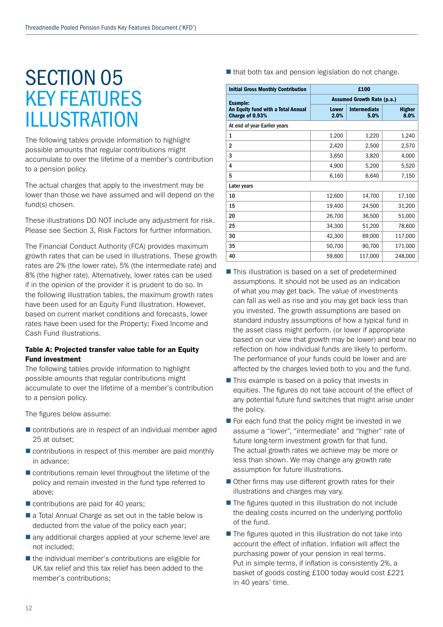## SECTION 05 KEY FEATURES ILLUSTRATION

The following tables provide information to highlight possible amounts that regular contributions might accumulate to over the lifetime of a member's contribution to a pension policy.

The actual charges that apply to the investment may be lower than those we have assumed and will depend on the fund(s) chosen.

These illustrations DO NOT include any adjustment for risk. Please see Section 3, Risk Factors for further information.

The Financial Conduct Authority (FCA) provides maximum growth rates that can be used in illustrations. These growth rates are 2% (the lower rate), 5% (the intermediate rate) and 8% (the higher rate). Alternatively, lower rates can be used if in the opinion of the provider it is prudent to do so. In the following illustration tables, the maximum growth rates have been used for an Equity Fund illustration. However, based on current market conditions and forecasts, lower rates have been used for the Property; Fixed Income and Cash Fund illustrations.

### Table A: Projected transfer value table for an Equity Fund investment

The following tables provide information to highlight possible amounts that regular contributions might accumulate to over the lifetime of a member's contribution to a pension policy.

The figures below assume:

- $\blacksquare$  contributions are in respect of an individual member aged 25 at outset;
- $\blacksquare$  contributions in respect of this member are paid monthly in advance;
- $\blacksquare$  contributions remain level throughout the lifetime of the policy and remain invested in the fund type referred to above;
- $\blacksquare$  contributions are paid for 40 years;
- $\blacksquare$  a Total Annual Charge as set out in the table below is deducted from the value of the policy each year;
- $\blacksquare$  any additional charges applied at your scheme level are not included;
- $\blacksquare$  the individual member's contributions are eligible for UK tax relief and this tax relief has been added to the member's contributions;

 $\blacksquare$  that both tax and pension legislation do not change.

| £100<br><b>Initial Gross Monthly Contribution</b>     |                                   |                      |                       |  |
|-------------------------------------------------------|-----------------------------------|----------------------|-----------------------|--|
| <b>Example:</b>                                       | <b>Assumed Growth Rate (p.a.)</b> |                      |                       |  |
| An Equity fund with a Total Annual<br>Charge of 0.93% | <b>Lower</b><br>2.0%              | Intermediate<br>5.0% | <b>Higher</b><br>8.0% |  |
| At end of year Earlier years                          |                                   |                      |                       |  |
| 1                                                     | 1,200                             | 1,220                | 1,240                 |  |
| $\mathbf{2}$                                          | 2,420                             | 2,500                | 2,570                 |  |
| 3                                                     | 3,650                             | 3,820                | 4,000                 |  |
| 4                                                     | 4,900                             | 5,200                | 5,520                 |  |
| 5                                                     | 6,160                             | 6,640                | 7,150                 |  |
| Later years                                           |                                   |                      |                       |  |
| 10                                                    | 12,600                            | 14,700               | 17,100                |  |
| 15                                                    | 19,400                            | 24,500               | 31,200                |  |
| 20                                                    | 26,700                            | 36,500               | 51,000                |  |
| 25                                                    | 34,300                            | 51,200               | 78,600                |  |
| 30                                                    | 42,300                            | 69,000               | 117,000               |  |
| 35                                                    | 50,700                            | 90,700               | 171,000               |  |
| 40                                                    | 59,600                            | 117,000              | 248,000               |  |

- $\blacksquare$  This illustration is based on a set of predetermined assumptions. It should not be used as an indication of what you may get back. The value of investments can fall as well as rise and you may get back less than you invested. The growth assumptions are based on standard industry assumptions of how a typical fund in the asset class might perform. (or lower if appropriate based on our view that growth may be lower) and bear no reflection on how individual funds are likely to perform. The performance of your funds could be lower and are affected by the charges levied both to you and the fund.
- $\blacksquare$  This example is based on a policy that invests in equities. The figures do not take account of the effect of any potential future fund switches that might arise under the policy.
- $\blacksquare$  For each fund that the policy might be invested in we assume a "lower", "intermediate" and "higher" rate of future long-term investment growth for that fund. The actual growth rates we achieve may be more or less than shown. We may change any growth rate assumption for future illustrations.
- $\blacksquare$  Other firms may use different growth rates for their illustrations and charges may vary.
- $\blacksquare$  The figures quoted in this illustration do not include the dealing costs incurred on the underlying portfolio of the fund.
- $\blacksquare$  The figures quoted in this illustration do not take into account the effect of inflation. Inflation will affect the purchasing power of your pension in real terms. Put in simple terms, if inflation is consistently 2%, a basket of goods costing £100 today would cost £221 in 40 years' time.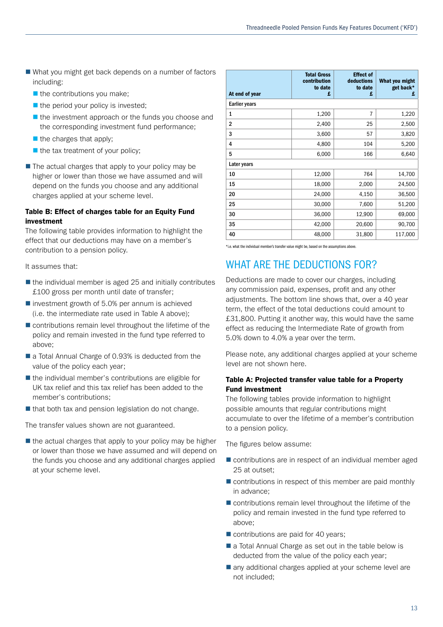- $\blacksquare$  What you might get back depends on a number of factors including:
	- $\blacksquare$  the contributions you make;
	- $\blacksquare$  the period your policy is invested;
	- $\blacksquare$  the investment approach or the funds you choose and the corresponding investment fund performance;
	- $\blacksquare$  the charges that apply;
	- $\blacksquare$  the tax treatment of your policy;
- $\blacksquare$  The actual charges that apply to your policy may be higher or lower than those we have assumed and will depend on the funds you choose and any additional charges applied at your scheme level.

### Table B: Effect of charges table for an Equity Fund investment

The following table provides information to highlight the effect that our deductions may have on a member's contribution to a pension policy.

It assumes that:

- $\blacksquare$  the individual member is aged 25 and initially contributes £100 gross per month until date of transfer;
- $\blacksquare$  investment growth of 5.0% per annum is achieved (i.e. the intermediate rate used in Table A above);
- $\blacksquare$  contributions remain level throughout the lifetime of the policy and remain invested in the fund type referred to above;
- $\blacksquare$  a Total Annual Charge of 0.93% is deducted from the value of the policy each year;
- $\blacksquare$  the individual member's contributions are eligible for UK tax relief and this tax relief has been added to the member's contributions;
- $\blacksquare$  that both tax and pension legislation do not change.

The transfer values shown are not guaranteed.

 $\blacksquare$  the actual charges that apply to your policy may be higher or lower than those we have assumed and will depend on the funds you choose and any additional charges applied at your scheme level.

| At end of year       | <b>Total Gross</b><br>contribution<br>to date<br>£ | <b>Effect of</b><br>deductions<br>to date<br>£ | What you might<br>get back*<br>£ |
|----------------------|----------------------------------------------------|------------------------------------------------|----------------------------------|
| <b>Earlier years</b> |                                                    |                                                |                                  |
| 1                    | 1,200                                              | $\overline{7}$                                 | 1,220                            |
| 2                    | 2,400                                              | 25                                             | 2,500                            |
| 3                    | 3,600                                              | 57                                             | 3,820                            |
| 4                    | 4,800                                              | 104                                            | 5,200                            |
| 5                    | 6,000                                              | 166                                            | 6,640                            |
| Later years          |                                                    |                                                |                                  |
| 10                   | 12,000                                             | 764                                            | 14,700                           |
| 15                   | 18,000                                             | 2,000                                          | 24,500                           |
| 20                   | 24,000                                             | 4,150                                          | 36,500                           |
| 25                   | 30,000                                             | 7,600                                          | 51,200                           |
| 30                   | 36,000                                             | 12,900                                         | 69,000                           |
| 35                   | 42,000                                             | 20,600                                         | 90,700                           |
| 40                   | 48,000                                             | 31,800                                         | 117,000                          |

\*i.e. what the individual member's transfer value might be, based on the assumptions above.

## WHAT ARE THE DEDUCTIONS FOR?

Deductions are made to cover our charges, including any commission paid, expenses, profit and any other adjustments. The bottom line shows that, over a 40 year term, the effect of the total deductions could amount to £31,800. Putting it another way, this would have the same effect as reducing the Intermediate Rate of growth from 5.0% down to 4.0% a year over the term.

Please note, any additional charges applied at your scheme level are not shown here.

### Table A: Projected transfer value table for a Property Fund investment

The following tables provide information to highlight possible amounts that regular contributions might accumulate to over the lifetime of a member's contribution to a pension policy.

The figures below assume:

- $\blacksquare$  contributions are in respect of an individual member aged 25 at outset;
- $\blacksquare$  contributions in respect of this member are paid monthly in advance;
- $\blacksquare$  contributions remain level throughout the lifetime of the policy and remain invested in the fund type referred to above;
- $\blacksquare$  contributions are paid for 40 years;
- $\blacksquare$  a Total Annual Charge as set out in the table below is deducted from the value of the policy each year;
- $\blacksquare$  any additional charges applied at your scheme level are not included;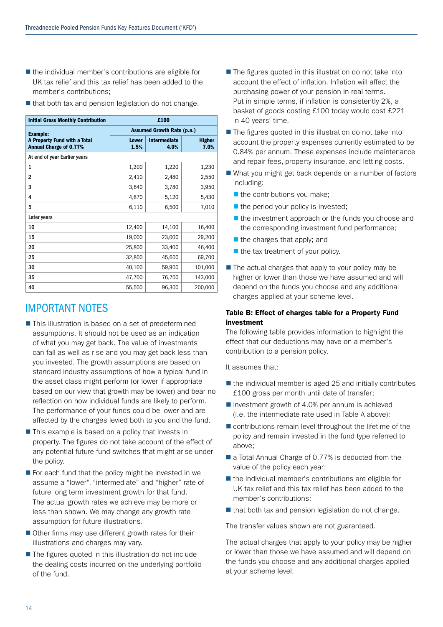- $\blacksquare$  the individual member's contributions are eligible for UK tax relief and this tax relief has been added to the member's contributions;
- $\blacksquare$  that both tax and pension legislation do not change.

| <b>Initial Gross Monthly Contribution</b>                     | £100                              |                             |                       |  |
|---------------------------------------------------------------|-----------------------------------|-----------------------------|-----------------------|--|
| <b>Example:</b>                                               | <b>Assumed Growth Rate (p.a.)</b> |                             |                       |  |
| A Property Fund with a Total<br><b>Annual Charge of 0.77%</b> | <b>Lower</b><br>1.5%              | <b>Intermediate</b><br>4.0% | <b>Higher</b><br>7.0% |  |
| At end of year Earlier years                                  |                                   |                             |                       |  |
| 1                                                             | 1,200                             | 1,220                       | 1,230                 |  |
| $\overline{2}$                                                | 2,410                             | 2,480                       | 2,550                 |  |
| 3                                                             | 3,640                             | 3,780                       | 3,950                 |  |
| 4                                                             | 4,870                             | 5,120                       | 5,430                 |  |
| 5                                                             | 6,110                             | 6,500                       | 7,010                 |  |
| Later years                                                   |                                   |                             |                       |  |
| 10                                                            | 12,400                            | 14,100                      | 16,400                |  |
| 15                                                            | 19,000                            | 23,000                      | 29,200                |  |
| 20                                                            | 25,800                            | 33,400                      | 46,400                |  |
| 25                                                            | 32,800                            | 45,600                      | 69,700                |  |
| 30                                                            | 40,100                            | 59,900                      | 101,000               |  |
| 35                                                            | 47,700                            | 76,700                      | 143,000               |  |
| 40                                                            | 55,500                            | 96,300                      | 200,000               |  |

## IMPORTANT NOTES

- $\blacksquare$  This illustration is based on a set of predetermined assumptions. It should not be used as an indication of what you may get back. The value of investments can fall as well as rise and you may get back less than you invested. The growth assumptions are based on standard industry assumptions of how a typical fund in the asset class might perform (or lower if appropriate based on our view that growth may be lower) and bear no reflection on how individual funds are likely to perform. The performance of your funds could be lower and are affected by the charges levied both to you and the fund.
- $\blacksquare$  This example is based on a policy that invests in property. The figures do not take account of the effect of any potential future fund switches that might arise under the policy.
- $\blacksquare$  For each fund that the policy might be invested in we assume a "lower", "intermediate" and "higher" rate of future long term investment growth for that fund. The actual growth rates we achieve may be more or less than shown. We may change any growth rate assumption for future illustrations.
- $\blacksquare$  Other firms may use different growth rates for their illustrations and charges may vary.
- $\blacksquare$  The figures quoted in this illustration do not include the dealing costs incurred on the underlying portfolio of the fund.
- $\blacksquare$  The figures quoted in this illustration do not take into account the effect of inflation. Inflation will affect the purchasing power of your pension in real terms. Put in simple terms, if inflation is consistently 2%, a basket of goods costing £100 today would cost £221 in 40 years' time.
- $\blacksquare$  The figures quoted in this illustration do not take into account the property expenses currently estimated to be 0.84% per annum. These expenses include maintenance and repair fees, property insurance, and letting costs.
- $\blacksquare$  What you might get back depends on a number of factors including:
	- $\blacksquare$  the contributions you make:
	- $\blacksquare$  the period your policy is invested;
	- $\blacksquare$  the investment approach or the funds you choose and the corresponding investment fund performance;
	- $\blacksquare$  the charges that apply; and
	- $\blacksquare$  the tax treatment of your policy.
- $\blacksquare$  The actual charges that apply to your policy may be higher or lower than those we have assumed and will depend on the funds you choose and any additional charges applied at your scheme level.

### Table B: Effect of charges table for a Property Fund investment

The following table provides information to highlight the effect that our deductions may have on a member's contribution to a pension policy.

It assumes that:

- $\blacksquare$  the individual member is aged 25 and initially contributes £100 gross per month until date of transfer;
- $\blacksquare$  investment growth of 4.0% per annum is achieved (i.e. the intermediate rate used in Table A above);
- $\blacksquare$  contributions remain level throughout the lifetime of the policy and remain invested in the fund type referred to above;
- $\blacksquare$  a Total Annual Charge of 0.77% is deducted from the value of the policy each year;
- $\blacksquare$  the individual member's contributions are eligible for UK tax relief and this tax relief has been added to the member's contributions;
- $\blacksquare$  that both tax and pension legislation do not change.

The transfer values shown are not guaranteed.

The actual charges that apply to your policy may be higher or lower than those we have assumed and will depend on the funds you choose and any additional charges applied at your scheme level.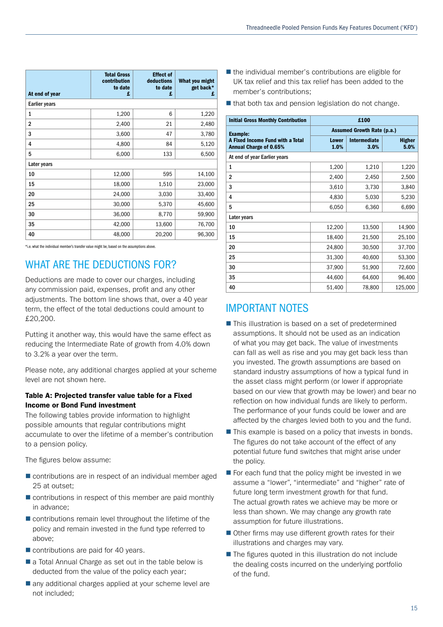| At end of year       | <b>Total Gross</b><br>contribution<br>to date<br>£ | <b>Effect of</b><br>deductions<br>to date<br>£ | What you might<br>get back*<br>£ |
|----------------------|----------------------------------------------------|------------------------------------------------|----------------------------------|
| <b>Earlier years</b> |                                                    |                                                |                                  |
| 1                    | 1,200                                              | 6                                              | 1,220                            |
| $\overline{2}$       | 2,400                                              | 21                                             | 2,480                            |
| 3                    | 3,600                                              | 47                                             | 3,780                            |
| 4                    | 4,800                                              | 84                                             | 5,120                            |
| 5                    | 6,000                                              | 133                                            | 6,500                            |
| Later years          |                                                    |                                                |                                  |
| 10                   | 12,000                                             | 595                                            | 14,100                           |
| 15                   | 18,000                                             | 1,510                                          | 23,000                           |
| 20                   | 24,000                                             | 3,030                                          | 33,400                           |
| 25                   | 30,000                                             | 5,370                                          | 45,600                           |
| 30                   | 36,000                                             | 8,770                                          | 59,900                           |
| 35                   | 42,000                                             | 13,600                                         | 76,700                           |
| 40                   | 48,000                                             | 20,200                                         | 96,300                           |

\*i.e. what the individual member's transfer value might be, based on the assumptions above.

## WHAT ARE THE DEDUCTIONS FOR?

Deductions are made to cover our charges, including any commission paid, expenses, profit and any other adjustments. The bottom line shows that, over a 40 year term, the effect of the total deductions could amount to £20,200.

Putting it another way, this would have the same effect as reducing the Intermediate Rate of growth from 4.0% down to 3.2% a year over the term.

Please note, any additional charges applied at your scheme level are not shown here.

### Table A: Projected transfer value table for a Fixed Income or Bond Fund investment

The following tables provide information to highlight possible amounts that regular contributions might accumulate to over the lifetime of a member's contribution to a pension policy.

The figures below assume:

- $\blacksquare$  contributions are in respect of an individual member aged 25 at outset;
- $\blacksquare$  contributions in respect of this member are paid monthly in advance;
- $\blacksquare$  contributions remain level throughout the lifetime of the policy and remain invested in the fund type referred to above;
- $\blacksquare$  contributions are paid for 40 years.
- $\blacksquare$  a Total Annual Charge as set out in the table below is deducted from the value of the policy each year;
- $\blacksquare$  any additional charges applied at your scheme level are not included;
- $\blacksquare$  the individual member's contributions are eligible for UK tax relief and this tax relief has been added to the member's contributions;
- $\blacksquare$  that both tax and pension legislation do not change.

| <b>Initial Gross Monthly Contribution</b>                         |                                   | £100                 |                       |  |
|-------------------------------------------------------------------|-----------------------------------|----------------------|-----------------------|--|
| <b>Example:</b>                                                   | <b>Assumed Growth Rate (p.a.)</b> |                      |                       |  |
| A Fixed Income Fund with a Total<br><b>Annual Charge of 0.65%</b> | <b>Lower</b><br>1.0%              | Intermediate<br>3.0% | <b>Higher</b><br>5.0% |  |
| At end of year Earlier years                                      |                                   |                      |                       |  |
| 1                                                                 | 1,200                             | 1,210                | 1,220                 |  |
| $\overline{2}$                                                    | 2,400                             | 2,450                | 2,500                 |  |
| 3                                                                 | 3,610                             | 3,730                | 3,840                 |  |
| 4                                                                 | 4,830                             | 5,030                | 5,230                 |  |
| 5                                                                 | 6,050                             | 6,360                | 6,690                 |  |
| Later years                                                       |                                   |                      |                       |  |
| 10                                                                | 12,200                            | 13,500               | 14,900                |  |
| 15                                                                | 18,400                            | 21,500               | 25,100                |  |
| 20                                                                | 24,800                            | 30,500               | 37,700                |  |
| 25                                                                | 31,300                            | 40,600               | 53,300                |  |
| 30                                                                | 37,900                            | 51,900               | 72,600                |  |
| 35                                                                | 44,600                            | 64,600               | 96,400                |  |
| 40                                                                | 51,400                            | 78,800               | 125,000               |  |

## IMPORTANT NOTES

- $\blacksquare$  This illustration is based on a set of predetermined assumptions. It should not be used as an indication of what you may get back. The value of investments can fall as well as rise and you may get back less than you invested. The growth assumptions are based on standard industry assumptions of how a typical fund in the asset class might perform (or lower if appropriate based on our view that growth may be lower) and bear no reflection on how individual funds are likely to perform. The performance of your funds could be lower and are affected by the charges levied both to you and the fund.
- $\blacksquare$  This example is based on a policy that invests in bonds. The figures do not take account of the effect of any potential future fund switches that might arise under the policy.
- $\blacksquare$  For each fund that the policy might be invested in we assume a "lower", "intermediate" and "higher" rate of future long term investment growth for that fund. The actual growth rates we achieve may be more or less than shown. We may change any growth rate assumption for future illustrations.
- $\blacksquare$  Other firms may use different growth rates for their illustrations and charges may vary.
- $\blacksquare$  The figures quoted in this illustration do not include the dealing costs incurred on the underlying portfolio of the fund.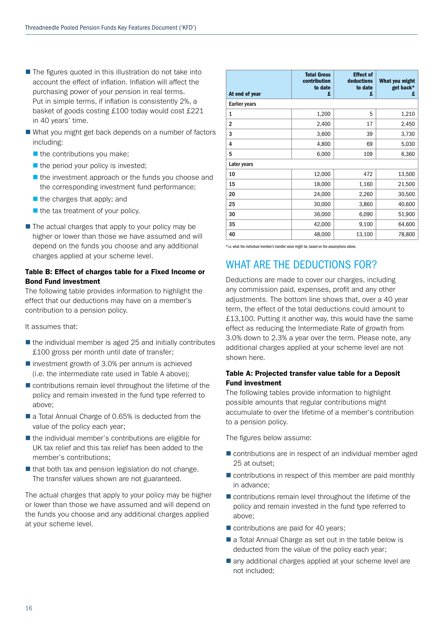- $\blacksquare$  The figures quoted in this illustration do not take into account the effect of inflation. Inflation will affect the purchasing power of your pension in real terms. Put in simple terms, if inflation is consistently 2%, a basket of goods costing £100 today would cost £221 in 40 years' time.
- $\blacksquare$  What you might get back depends on a number of factors including:
	- $\blacksquare$  the contributions you make;
	- $\blacksquare$  the period your policy is invested;
	- $\blacksquare$  the investment approach or the funds you choose and the corresponding investment fund performance;
	- $\blacksquare$  the charges that apply; and
	- $\blacksquare$  the tax treatment of your policy.
- $\blacksquare$  The actual charges that apply to your policy may be higher or lower than those we have assumed and will depend on the funds you choose and any additional charges applied at your scheme level.

### Table B: Effect of charges table for a Fixed Income or Bond Fund investment

The following table provides information to highlight the effect that our deductions may have on a member's contribution to a pension policy.

It assumes that:

- $\blacksquare$  the individual member is aged 25 and initially contributes £100 gross per month until date of transfer;
- $\blacksquare$  investment growth of 3.0% per annum is achieved (i.e. the intermediate rate used in Table A above);
- $\blacksquare$  contributions remain level throughout the lifetime of the policy and remain invested in the fund type referred to above;
- a Total Annual Charge of 0.65% is deducted from the value of the policy each year;
- $\blacksquare$  the individual member's contributions are eligible for UK tax relief and this tax relief has been added to the member's contributions;
- $\blacksquare$  that both tax and pension legislation do not change. The transfer values shown are not guaranteed.

The actual charges that apply to your policy may be higher or lower than those we have assumed and will depend on the funds you choose and any additional charges applied at your scheme level.

| At end of year       | <b>Total Gross</b><br>contribution<br>to date<br>£ | <b>Effect of</b><br>deductions<br>to date<br>£ | What you might<br>get back*<br>£ |
|----------------------|----------------------------------------------------|------------------------------------------------|----------------------------------|
| <b>Earlier years</b> |                                                    |                                                |                                  |
| 1                    | 1,200                                              | 5                                              | 1,210                            |
| $\overline{2}$       | 2,400                                              | 17                                             | 2,450                            |
| 3                    | 3,600                                              | 39                                             | 3,730                            |
| 4                    | 4,800                                              | 69                                             | 5,030                            |
| 5                    | 6,000                                              | 109                                            | 6,360                            |
| Later years          |                                                    |                                                |                                  |
| 10                   | 12,000                                             | 472                                            | 13,500                           |
| 15                   | 18,000                                             | 1,160                                          | 21,500                           |
| 20                   | 24,000                                             | 2,260                                          | 30,500                           |
| 25                   | 30,000                                             | 3,860                                          | 40,600                           |
| 30                   | 36,000                                             | 6,090                                          | 51,900                           |
| 35                   | 42,000                                             | 9,100                                          | 64,600                           |
| 40                   | 48,000                                             | 13,100                                         | 78,800                           |

\*i.e. what the individual member's transfer value might be, based on the assumptions above.

## WHAT ARE THE DEDUCTIONS FOR?

Deductions are made to cover our charges, including any commission paid, expenses, profit and any other adjustments. The bottom line shows that, over a 40 year term, the effect of the total deductions could amount to £13,100. Putting it another way, this would have the same effect as reducing the Intermediate Rate of growth from 3.0% down to 2.3% a year over the term. Please note, any additional charges applied at your scheme level are not shown here.

### Table A: Projected transfer value table for a Deposit Fund investment

The following tables provide information to highlight possible amounts that regular contributions might accumulate to over the lifetime of a member's contribution to a pension policy.

The figures below assume:

- $\blacksquare$  contributions are in respect of an individual member aged 25 at outset;
- $\blacksquare$  contributions in respect of this member are paid monthly in advance;
- $\blacksquare$  contributions remain level throughout the lifetime of the policy and remain invested in the fund type referred to above;
- $\blacksquare$  contributions are paid for 40 years;
- $\blacksquare$  a Total Annual Charge as set out in the table below is deducted from the value of the policy each year;
- $\blacksquare$  any additional charges applied at your scheme level are not included;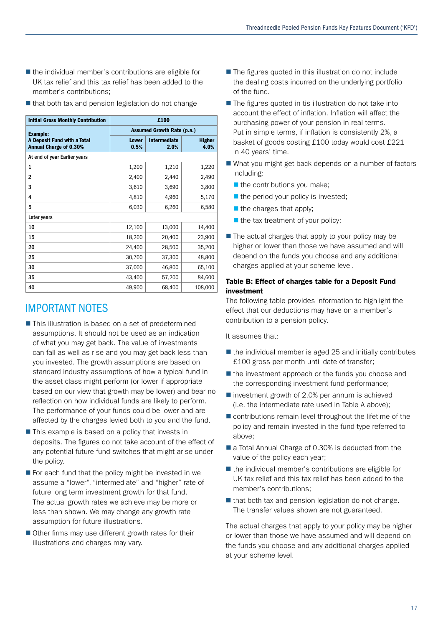- $\blacksquare$  the individual member's contributions are eligible for UK tax relief and this tax relief has been added to the member's contributions;
- $\blacksquare$  that both tax and pension legislation do not change

| <b>Initial Gross Monthly Contribution</b>                    | £100                              |                      |                       |  |
|--------------------------------------------------------------|-----------------------------------|----------------------|-----------------------|--|
| <b>Example:</b>                                              | <b>Assumed Growth Rate (p.a.)</b> |                      |                       |  |
| A Deposit Fund with a Total<br><b>Annual Charge of 0.30%</b> | <b>Lower</b><br>0.5%              | Intermediate<br>2.0% | <b>Higher</b><br>4.0% |  |
| At end of year Earlier years                                 |                                   |                      |                       |  |
| 1                                                            | 1,200                             | 1,210                | 1,220                 |  |
| $\overline{2}$                                               | 2,400                             | 2,440                | 2,490                 |  |
| 3                                                            | 3,610                             | 3,690                | 3,800                 |  |
| 4                                                            | 4,810                             | 4,960                | 5,170                 |  |
| 5                                                            | 6,030                             | 6,260                | 6,580                 |  |
| Later years                                                  |                                   |                      |                       |  |
| 10                                                           | 12,100                            | 13,000               | 14,400                |  |
| 15                                                           | 18,200                            | 20,400               | 23,900                |  |
| 20                                                           | 24,400                            | 28,500               | 35,200                |  |
| 25                                                           | 30,700                            | 37,300               | 48,800                |  |
| 30                                                           | 37,000                            | 46,800               | 65,100                |  |
| 35                                                           | 43,400                            | 57,200               | 84,600                |  |
| 40                                                           | 49,900                            | 68,400               | 108,000               |  |

### IMPORTANT NOTES

- $\blacksquare$  This illustration is based on a set of predetermined assumptions. It should not be used as an indication of what you may get back. The value of investments can fall as well as rise and you may get back less than you invested. The growth assumptions are based on standard industry assumptions of how a typical fund in the asset class might perform (or lower if appropriate based on our view that growth may be lower) and bear no reflection on how individual funds are likely to perform. The performance of your funds could be lower and are affected by the charges levied both to you and the fund.
- $\blacksquare$  This example is based on a policy that invests in deposits. The figures do not take account of the effect of any potential future fund switches that might arise under the policy.
- $\blacksquare$  For each fund that the policy might be invested in we assume a "lower", "intermediate" and "higher" rate of future long term investment growth for that fund. The actual growth rates we achieve may be more or less than shown. We may change any growth rate assumption for future illustrations.
- $\blacksquare$  Other firms may use different growth rates for their illustrations and charges may vary.
- $\blacksquare$  The figures quoted in this illustration do not include the dealing costs incurred on the underlying portfolio of the fund.
- $\blacksquare$  The figures quoted in tis illustration do not take into account the effect of inflation. Inflation will affect the purchasing power of your pension in real terms. Put in simple terms, if inflation is consistently 2%, a basket of goods costing £100 today would cost £221 in 40 years' time.
- $\blacksquare$  What you might get back depends on a number of factors including:
	- $\blacksquare$  the contributions you make;
	- $\blacksquare$  the period your policy is invested;
	- $\blacksquare$  the charges that apply;
	- $\blacksquare$  the tax treatment of your policy;
- $\blacksquare$  The actual charges that apply to your policy may be higher or lower than those we have assumed and will depend on the funds you choose and any additional charges applied at your scheme level.

### Table B: Effect of charges table for a Deposit Fund investment

The following table provides information to highlight the effect that our deductions may have on a member's contribution to a pension policy.

It assumes that:

- $\blacksquare$  the individual member is aged 25 and initially contributes £100 gross per month until date of transfer;
- $\blacksquare$  the investment approach or the funds you choose and the corresponding investment fund performance;
- $\blacksquare$  investment growth of 2.0% per annum is achieved (i.e. the intermediate rate used in Table A above);
- $\blacksquare$  contributions remain level throughout the lifetime of the policy and remain invested in the fund type referred to above;
- a Total Annual Charge of 0.30% is deducted from the value of the policy each year;
- $\blacksquare$  the individual member's contributions are eligible for UK tax relief and this tax relief has been added to the member's contributions;
- $\blacksquare$  that both tax and pension legislation do not change. The transfer values shown are not guaranteed.

The actual charges that apply to your policy may be higher or lower than those we have assumed and will depend on the funds you choose and any additional charges applied at your scheme level.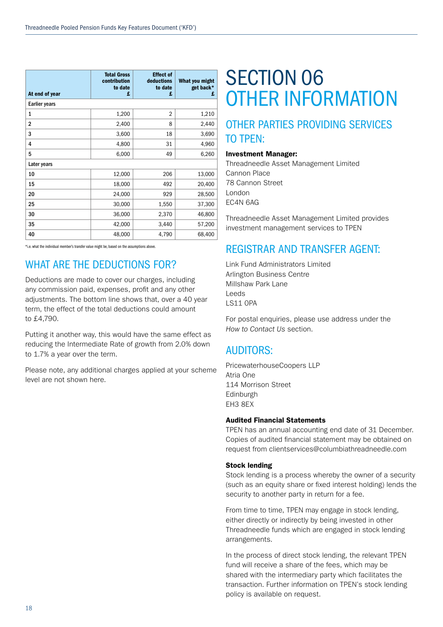| At end of year       | <b>Total Gross</b><br>contribution<br>to date<br>£ | <b>Effect of</b><br>deductions<br>to date<br>£ | What you might<br>get back*<br>£ |  |  |  |
|----------------------|----------------------------------------------------|------------------------------------------------|----------------------------------|--|--|--|
| <b>Earlier years</b> |                                                    |                                                |                                  |  |  |  |
| 1                    | 1,200                                              | $\overline{2}$                                 | 1,210                            |  |  |  |
| $\overline{2}$       | 2,400                                              | 8                                              | 2,440                            |  |  |  |
| 3                    | 3,600                                              | 18                                             | 3,690                            |  |  |  |
| 4                    | 4,800                                              | 31                                             | 4,960                            |  |  |  |
| 5                    | 6,000                                              | 49                                             | 6,260                            |  |  |  |
| Later years          |                                                    |                                                |                                  |  |  |  |
| 10                   | 12,000                                             | 206                                            | 13,000                           |  |  |  |
| 15                   | 18,000                                             | 492                                            | 20,400                           |  |  |  |
| 20                   | 24,000                                             | 929                                            | 28,500                           |  |  |  |
| 25                   | 30,000                                             | 1,550                                          | 37,300                           |  |  |  |
| 30                   | 36,000                                             | 2,370                                          | 46,800                           |  |  |  |
| 35                   | 42,000                                             | 3,440                                          | 57,200                           |  |  |  |
| 40                   | 48,000                                             | 4,790                                          | 68,400                           |  |  |  |

\*i.e. what the individual member's transfer value might be, based on the assumptions above.

## WHAT ARE THE DEDUCTIONS FOR?

Deductions are made to cover our charges, including any commission paid, expenses, profit and any other adjustments. The bottom line shows that, over a 40 year term, the effect of the total deductions could amount to £4,790.

Putting it another way, this would have the same effect as reducing the Intermediate Rate of growth from 2.0% down to 1.7% a year over the term.

Please note, any additional charges applied at your scheme level are not shown here.

## SECTION 06 OTHER INFORMATION

## OTHER PARTIES PROVIDING SERVICES TO TPEN:

### Investment Manager:

Threadneedle Asset Management Limited Cannon Place 78 Cannon Street London EC4N 6AG

Threadneedle Asset Management Limited provides investment management services to TPEN

## REGISTRAR AND TRANSFER AGENT:

Link Fund Administrators Limited Arlington Business Centre Millshaw Park Lane Leeds LS11 0PA

For postal enquiries, please use address under the *How to Contact Us* section.

## AUDITORS:

PricewaterhouseCoopers LLP Atria One 114 Morrison Street Edinburgh EH3 8EX

### Audited Financial Statements

TPEN has an annual accounting end date of 31 December. Copies of audited financial statement may be obtained on request from clientservices@columbiathreadneedle.com

### Stock lending

Stock lending is a process whereby the owner of a security (such as an equity share or fixed interest holding) lends the security to another party in return for a fee.

From time to time, TPEN may engage in stock lending, either directly or indirectly by being invested in other Threadneedle funds which are engaged in stock lending arrangements.

In the process of direct stock lending, the relevant TPEN fund will receive a share of the fees, which may be shared with the intermediary party which facilitates the transaction. Further information on TPEN's stock lending policy is available on request.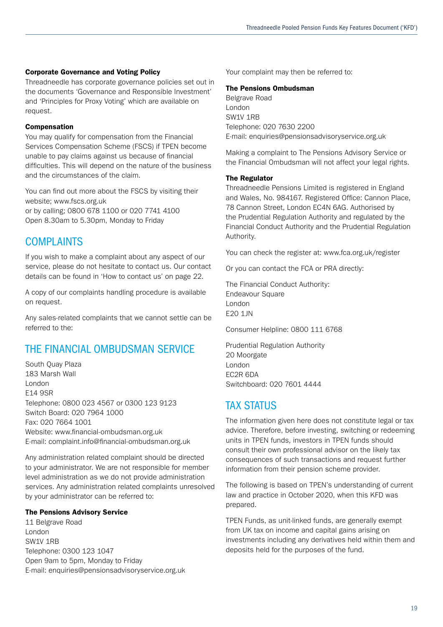### Corporate Governance and Voting Policy

Threadneedle has corporate governance policies set out in the documents 'Governance and Responsible Investment' and 'Principles for Proxy Voting' which are available on request.

### Compensation

You may qualify for compensation from the Financial Services Compensation Scheme (FSCS) if TPEN become unable to pay claims against us because of financial difficulties. This will depend on the nature of the business and the circumstances of the claim.

You can find out more about the FSCS by visiting their website; www.fscs.org.uk or by calling; 0800 678 1100 or 020 7741 4100 Open 8.30am to 5.30pm, Monday to Friday

### **COMPLAINTS**

If you wish to make a complaint about any aspect of our service, please do not hesitate to contact us. Our contact details can be found in 'How to contact us' on page 22.

A copy of our complaints handling procedure is available on request.

Any sales-related complaints that we cannot settle can be referred to the:

## THE FINANCIAL OMBUDSMAN SERVICE

South Quay Plaza 183 Marsh Wall London E14 9SR Telephone: 0800 023 4567 or 0300 123 9123 Switch Board: 020 7964 1000 Fax: 020 7664 1001 Website: www.financial-ombudsman.org.uk E-mail: complaint.info@financial-ombudsman.org.uk

Any administration related complaint should be directed to your administrator. We are not responsible for member level administration as we do not provide administration services. Any administration related complaints unresolved by your administrator can be referred to:

### The Pensions Advisory Service

11 Belgrave Road London SW1V 1RB Telephone: 0300 123 1047 Open 9am to 5pm, Monday to Friday E-mail: enquiries@pensionsadvisoryservice.org.uk Your complaint may then be referred to:

### The Pensions Ombudsman

Belgrave Road London SW1V 1RB Telephone: 020 7630 2200 E-mail: enquiries@pensionsadvisoryservice.org.uk

Making a complaint to The Pensions Advisory Service or the Financial Ombudsman will not affect your legal rights.

### The Regulator

Threadneedle Pensions Limited is registered in England and Wales, No. 984167. Registered Office: Cannon Place, 78 Cannon Street, London EC4N 6AG. Authorised by the Prudential Regulation Authority and regulated by the Financial Conduct Authority and the Prudential Regulation Authority.

You can check the register at: www.fca.org.uk/register

Or you can contact the FCA or PRA directly:

The Financial Conduct Authority: Endeavour Square London E20 1JN

Consumer Helpline: 0800 111 6768

Prudential Regulation Authority 20 Moorgate London EC2R 6DA Switchboard: 020 7601 4444

### **TAX STATUS**

The information given here does not constitute legal or tax advice. Therefore, before investing, switching or redeeming units in TPEN funds, investors in TPEN funds should consult their own professional advisor on the likely tax consequences of such transactions and request further information from their pension scheme provider.

The following is based on TPEN's understanding of current law and practice in October 2020, when this KFD was prepared.

TPEN Funds, as unit-linked funds, are generally exempt from UK tax on income and capital gains arising on investments including any derivatives held within them and deposits held for the purposes of the fund.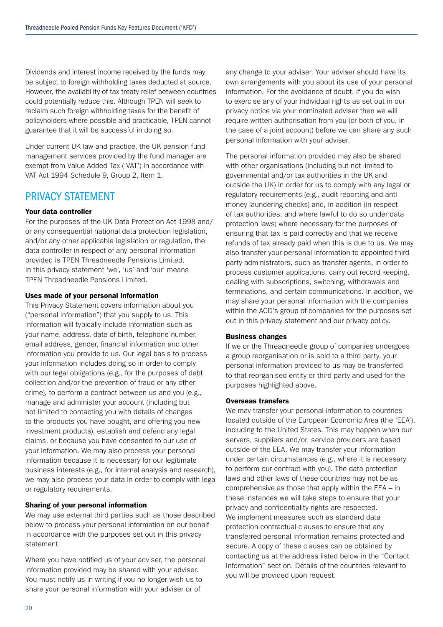Dividends and interest income received by the funds may be subject to foreign withholding taxes deducted at source. However, the availability of tax treaty relief between countries could potentially reduce this. Although TPEN will seek to reclaim such foreign withholding taxes for the benefit of policyholders where possible and practicable, TPEN cannot guarantee that it will be successful in doing so.

Under current UK law and practice, the UK pension fund management services provided by the fund manager are exempt from Value Added Tax ('VAT') in accordance with VAT Act 1994 Schedule 9, Group 2, Item 1.

### PRIVACY STATEMENT

### Your data controller

For the purposes of the UK Data Protection Act 1998 and/ or any consequential national data protection legislation, and/or any other applicable legislation or regulation, the data controller in respect of any personal information provided is TPEN Threadneedle Pensions Limited. In this privacy statement 'we', 'us' and 'our' means TPEN Threadneedle Pensions Limited.

### Uses made of your personal information

This Privacy Statement covers information about you ("personal information") that you supply to us. This information will typically include information such as your name, address, date of birth, telephone number, email address, gender, financial information and other information you provide to us. Our legal basis to process your information includes doing so in order to comply with our legal obligations (e.g., for the purposes of debt collection and/or the prevention of fraud or any other crime), to perform a contract between us and you (e.g., manage and administer your account (including but not limited to contacting you with details of changes to the products you have bought, and offering you new investment products), establish and defend any legal claims, or because you have consented to our use of your information. We may also process your personal information because it is necessary for our legitimate business interests (e.g., for internal analysis and research), we may also process your data in order to comply with legal or regulatory requirements.

### Sharing of your personal information

We may use external third parties such as those described below to process your personal information on our behalf in accordance with the purposes set out in this privacy statement.

Where you have notified us of your adviser, the personal information provided may be shared with your adviser. You must notify us in writing if you no longer wish us to share your personal information with your adviser or of

any change to your adviser. Your adviser should have its own arrangements with you about its use of your personal information. For the avoidance of doubt, if you do wish to exercise any of your individual rights as set out in our privacy notice via your nominated adviser then we will require written authorisation from you (or both of you, in the case of a joint account) before we can share any such personal information with your adviser.

The personal information provided may also be shared with other organisations (including but not limited to governmental and/or tax authorities in the UK and outside the UK) in order for us to comply with any legal or regulatory requirements (e.g., audit reporting and antimoney laundering checks) and, in addition (in respect of tax authorities, and where lawful to do so under data protection laws) where necessary for the purposes of ensuring that tax is paid correctly and that we receive refunds of tax already paid when this is due to us. We may also transfer your personal information to appointed third party administrators, such as transfer agents, in order to process customer applications, carry out record keeping, dealing with subscriptions, switching, withdrawals and terminations, and certain communications. In addition, we may share your personal information with the companies within the ACD's group of companies for the purposes set out in this privacy statement and our privacy policy.

#### Business changes

If we or the Threadneedle group of companies undergoes a group reorganisation or is sold to a third party, your personal information provided to us may be transferred to that reorganised entity or third party and used for the purposes highlighted above.

#### Overseas transfers

We may transfer your personal information to countries located outside of the European Economic Area (the 'EEA'), including to the United States. This may happen when our servers, suppliers and/or, service providers are based outside of the EEA. We may transfer your information under certain circumstances (e.g., where it is necessary to perform our contract with you). The data protection laws and other laws of these countries may not be as comprehensive as those that apply within the EEA – in these instances we will take steps to ensure that your privacy and confidentiality rights are respected. We implement measures such as standard data protection contractual clauses to ensure that any transferred personal information remains protected and secure. A copy of these clauses can be obtained by contacting us at the address listed below in the "Contact Information" section. Details of the countries relevant to you will be provided upon request.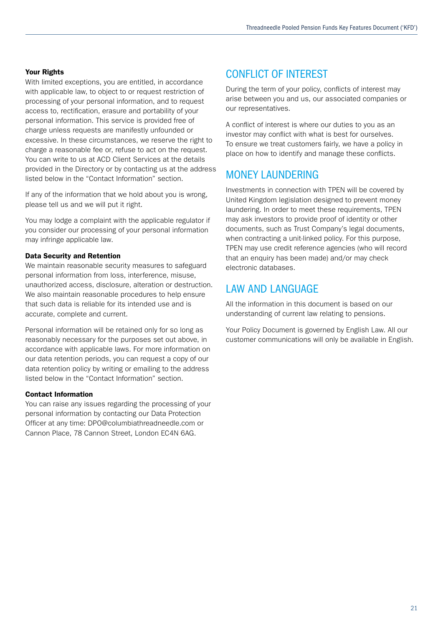### Your Rights

With limited exceptions, you are entitled, in accordance with applicable law, to object to or request restriction of processing of your personal information, and to request access to, rectification, erasure and portability of your personal information. This service is provided free of charge unless requests are manifestly unfounded or excessive. In these circumstances, we reserve the right to charge a reasonable fee or, refuse to act on the request. You can write to us at ACD Client Services at the details provided in the Directory or by contacting us at the address listed below in the "Contact Information" section.

If any of the information that we hold about you is wrong, please tell us and we will put it right.

You may lodge a complaint with the applicable regulator if you consider our processing of your personal information may infringe applicable law.

### Data Security and Retention

We maintain reasonable security measures to safeguard personal information from loss, interference, misuse, unauthorized access, disclosure, alteration or destruction. We also maintain reasonable procedures to help ensure that such data is reliable for its intended use and is accurate, complete and current.

Personal information will be retained only for so long as reasonably necessary for the purposes set out above, in accordance with applicable laws. For more information on our data retention periods, you can request a copy of our data retention policy by writing or emailing to the address listed below in the "Contact Information" section.

### Contact Information

You can raise any issues regarding the processing of your personal information by contacting our Data Protection Officer at any time: DPO@columbiathreadneedle.com or Cannon Place, 78 Cannon Street, London EC4N 6AG.

### CONFLICT OF INTEREST

During the term of your policy, conflicts of interest may arise between you and us, our associated companies or our representatives.

A conflict of interest is where our duties to you as an investor may conflict with what is best for ourselves. To ensure we treat customers fairly, we have a policy in place on how to identify and manage these conflicts.

## MONEY LAUNDERING

Investments in connection with TPEN will be covered by United Kingdom legislation designed to prevent money laundering. In order to meet these requirements, TPEN may ask investors to provide proof of identity or other documents, such as Trust Company's legal documents, when contracting a unit-linked policy. For this purpose, TPEN may use credit reference agencies (who will record that an enquiry has been made) and/or may check electronic databases.

### LAW AND LANGUAGE

All the information in this document is based on our understanding of current law relating to pensions.

Your Policy Document is governed by English Law. All our customer communications will only be available in English.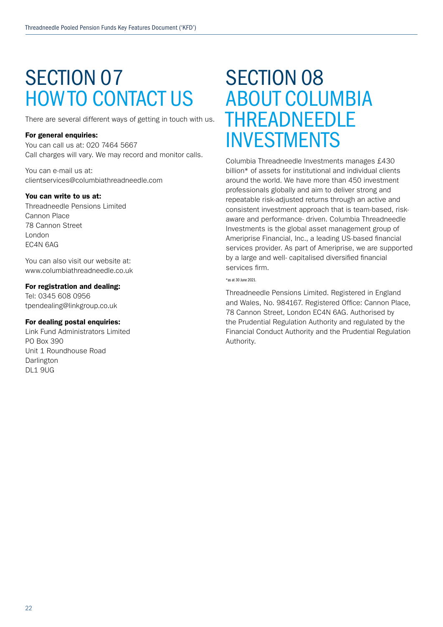## SECTION 07 HOW TO CONTACT US

There are several different ways of getting in touch with us.

### For general enquiries:

You can call us at: 020 7464 5667 Call charges will vary. We may record and monitor calls.

You can e-mail us at: clientservices@columbiathreadneedle.com

### You can write to us at:

Threadneedle Pensions Limited Cannon Place 78 Cannon Street London EC4N 6AG

You can also visit our website at: www.columbiathreadneedle.co.uk

### For registration and dealing:

Tel: 0345 608 0956 tpendealing@linkgroup.co.uk

### For dealing postal enquiries:

Link Fund Administrators Limited PO Box 390 Unit 1 Roundhouse Road Darlington DL1 9UG

## SECTION 08 ABOUT COLUMBIA THREADNEEDLE INVESTMENTS

Columbia Threadneedle Investments manages £430 billion\* of assets for institutional and individual clients around the world. We have more than 450 investment professionals globally and aim to deliver strong and repeatable risk-adjusted returns through an active and consistent investment approach that is team-based, riskaware and performance- driven. Columbia Threadneedle Investments is the global asset management group of Ameriprise Financial, Inc., a leading US-based financial services provider. As part of Ameriprise, we are supported by a large and well- capitalised diversified financial services firm.

#### \*as at 30 June 2021.

Threadneedle Pensions Limited. Registered in England and Wales, No. 984167. Registered Office: Cannon Place, 78 Cannon Street, London EC4N 6AG. Authorised by the Prudential Regulation Authority and regulated by the Financial Conduct Authority and the Prudential Regulation Authority.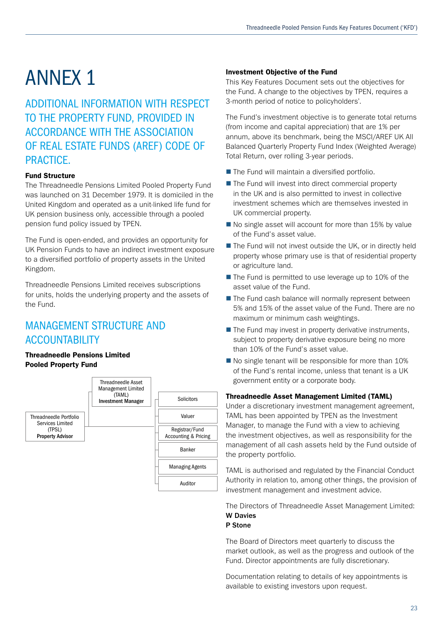# ANNEX 1

ADDITIONAL INFORMATION WITH RESPECT TO THE PROPERTY FUND, PROVIDED IN ACCORDANCE WITH THE ASSOCIATION OF REAL ESTATE FUNDS (AREF) CODE OF PRACTICE.

### Fund Structure

The Threadneedle Pensions Limited Pooled Property Fund was launched on 31 December 1979. It is domiciled in the United Kingdom and operated as a unit-linked life fund for UK pension business only, accessible through a pooled pension fund policy issued by TPEN.

The Fund is open-ended, and provides an opportunity for UK Pension Funds to have an indirect investment exposure to a diversified portfolio of property assets in the United Kingdom.

Threadneedle Pensions Limited receives subscriptions for units, holds the underlying property and the assets of the Fund.

## MANAGEMENT STRUCTURE AND ACCOUNTABILITY

### Threadneedle Pensions Limited Pooled Property Fund



### Investment Objective of the Fund

This Key Features Document sets out the objectives for the Fund. A change to the objectives by TPEN, requires a 3-month period of notice to policyholders'.

The Fund's investment objective is to generate total returns (from income and capital appreciation) that are 1% per annum, above its benchmark, being the MSCI/AREF UK All Balanced Quarterly Property Fund Index (Weighted Average) Total Return, over rolling 3-year periods.

- $\blacksquare$  The Fund will maintain a diversified portfolio.
- $\blacksquare$  The Fund will invest into direct commercial property in the UK and is also permitted to invest in collective investment schemes which are themselves invested in UK commercial property.
- $\blacksquare$  No single asset will account for more than 15% by value of the Fund's asset value.
- The Fund will not invest outside the UK, or in directly held property whose primary use is that of residential property or agriculture land.
- $\blacksquare$  The Fund is permitted to use leverage up to 10% of the asset value of the Fund.
- $\blacksquare$  The Fund cash balance will normally represent between 5% and 15% of the asset value of the Fund. There are no maximum or minimum cash weightings.
- $\blacksquare$  The Fund may invest in property derivative instruments, subject to property derivative exposure being no more than 10% of the Fund's asset value.
- $\blacksquare$  No single tenant will be responsible for more than 10% of the Fund's rental income, unless that tenant is a UK government entity or a corporate body.

### Threadneedle Asset Management Limited (TAML)

Under a discretionary investment management agreement, TAML has been appointed by TPEN as the Investment Manager, to manage the Fund with a view to achieving the investment objectives, as well as responsibility for the management of all cash assets held by the Fund outside of the property portfolio.

TAML is authorised and regulated by the Financial Conduct Authority in relation to, among other things, the provision of investment management and investment advice.

The Directors of Threadneedle Asset Management Limited: W Davies

### P Stone

The Board of Directors meet quarterly to discuss the market outlook, as well as the progress and outlook of the Fund. Director appointments are fully discretionary.

Documentation relating to details of key appointments is available to existing investors upon request.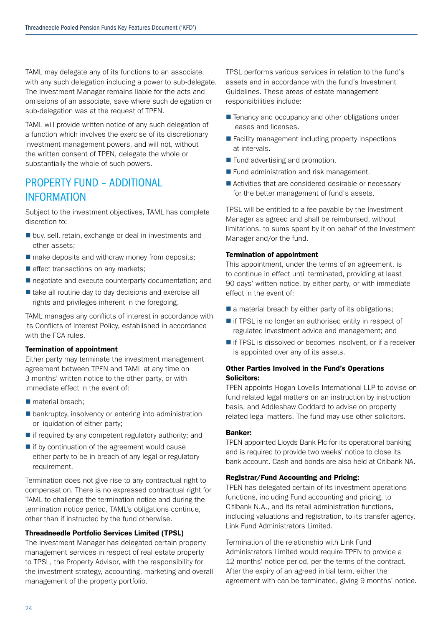TAML may delegate any of its functions to an associate, with any such delegation including a power to sub-delegate. The Investment Manager remains liable for the acts and omissions of an associate, save where such delegation or sub-delegation was at the request of TPEN.

TAML will provide written notice of any such delegation of a function which involves the exercise of its discretionary investment management powers, and will not, without the written consent of TPEN, delegate the whole or substantially the whole of such powers.

## PROPERTY FUND – ADDITIONAL INFORMATION

Subject to the investment objectives, TAML has complete discretion to:

- $\blacksquare$  buy, sell, retain, exchange or deal in investments and other assets;
- $\blacksquare$  make deposits and withdraw money from deposits;
- $\blacksquare$  effect transactions on any markets;
- $\blacksquare$  negotiate and execute counterparty documentation; and
- $\blacksquare$  take all routine day to day decisions and exercise all rights and privileges inherent in the foregoing.

TAML manages any conflicts of interest in accordance with its Conflicts of Interest Policy, established in accordance with the FCA rules.

### Termination of appointment

Either party may terminate the investment management agreement between TPEN and TAML at any time on 3 months' written notice to the other party, or with immediate effect in the event of:

- material breach;
- $\blacksquare$  bankruptcy, insolvency or entering into administration or liquidation of either party;
- $\blacksquare$  if required by any competent regulatory authority; and
- $\blacksquare$  if by continuation of the agreement would cause either party to be in breach of any legal or regulatory requirement.

Termination does not give rise to any contractual right to compensation. There is no expressed contractual right for TAML to challenge the termination notice and during the termination notice period, TAML's obligations continue, other than if instructed by the fund otherwise.

### Threadneedle Portfolio Services Limited (TPSL)

The Investment Manager has delegated certain property management services in respect of real estate property to TPSL, the Property Advisor, with the responsibility for the investment strategy, accounting, marketing and overall management of the property portfolio.

TPSL performs various services in relation to the fund's assets and in accordance with the fund's Investment Guidelines. These areas of estate management responsibilities include:

- Tenancy and occupancy and other obligations under leases and licenses.
- $\blacksquare$  Facility management including property inspections at intervals.
- $\blacksquare$  Fund advertising and promotion.
- $\blacksquare$  Fund administration and risk management.
- $\blacksquare$  Activities that are considered desirable or necessary for the better management of fund's assets.

TPSL will be entitled to a fee payable by the Investment Manager as agreed and shall be reimbursed, without limitations, to sums spent by it on behalf of the Investment Manager and/or the fund.

### Termination of appointment

This appointment, under the terms of an agreement, is to continue in effect until terminated, providing at least 90 days' written notice, by either party, or with immediate effect in the event of:

- $\blacksquare$  a material breach by either party of its obligations:
- $\blacksquare$  if TPSL is no longer an authorised entity in respect of regulated investment advice and management; and
- $\blacksquare$  if TPSL is dissolved or becomes insolvent, or if a receiver is appointed over any of its assets.

### Other Parties Involved in the Fund's Operations Solicitors:

TPEN appoints Hogan Lovells International LLP to advise on fund related legal matters on an instruction by instruction basis, and Addleshaw Goddard to advise on property related legal matters. The fund may use other solicitors.

### Banker:

TPEN appointed Lloyds Bank Plc for its operational banking and is required to provide two weeks' notice to close its bank account. Cash and bonds are also held at Citibank NA.

### Registrar/Fund Accounting and Pricing:

TPEN has delegated certain of its investment operations functions, including Fund accounting and pricing, to Citibank N.A., and its retail administration functions, including valuations and registration, to its transfer agency, Link Fund Administrators Limited.

Termination of the relationship with Link Fund Administrators Limited would require TPEN to provide a 12 months' notice period, per the terms of the contract. After the expiry of an agreed initial term, either the agreement with can be terminated, giving 9 months' notice.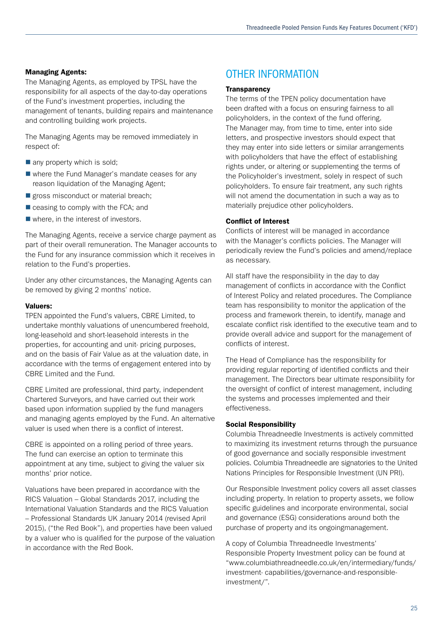### Managing Agents:

The Managing Agents, as employed by TPSL have the responsibility for all aspects of the day-to-day operations of the Fund's investment properties, including the management of tenants, building repairs and maintenance and controlling building work projects.

The Managing Agents may be removed immediately in respect of:

- $\blacksquare$  any property which is sold:
- $\blacksquare$  where the Fund Manager's mandate ceases for any reason liquidation of the Managing Agent;
- $\blacksquare$  gross misconduct or material breach;
- $\blacksquare$  ceasing to comply with the FCA; and
- $\blacksquare$  where, in the interest of investors.

The Managing Agents, receive a service charge payment as part of their overall remuneration. The Manager accounts to the Fund for any insurance commission which it receives in relation to the Fund's properties.

Under any other circumstances, the Managing Agents can be removed by giving 2 months' notice.

### Valuers:

TPEN appointed the Fund's valuers, CBRE Limited, to undertake monthly valuations of unencumbered freehold, long-leasehold and short-leasehold interests in the properties, for accounting and unit- pricing purposes, and on the basis of Fair Value as at the valuation date, in accordance with the terms of engagement entered into by CBRE Limited and the Fund.

CBRE Limited are professional, third party, independent Chartered Surveyors, and have carried out their work based upon information supplied by the fund managers and managing agents employed by the Fund. An alternative valuer is used when there is a conflict of interest.

CBRE is appointed on a rolling period of three years. The fund can exercise an option to terminate this appointment at any time, subject to giving the valuer six months' prior notice.

Valuations have been prepared in accordance with the RICS Valuation – Global Standards 2017, including the International Valuation Standards and the RICS Valuation – Professional Standards UK January 2014 (revised April 2015), ("the Red Book"), and properties have been valued by a valuer who is qualified for the purpose of the valuation in accordance with the Red Book.

## OTHER INFORMATION

### **Transparency**

The terms of the TPEN policy documentation have been drafted with a focus on ensuring fairness to all policyholders, in the context of the fund offering. The Manager may, from time to time, enter into side letters, and prospective investors should expect that they may enter into side letters or similar arrangements with policyholders that have the effect of establishing rights under, or altering or supplementing the terms of the Policyholder's investment, solely in respect of such policyholders. To ensure fair treatment, any such rights will not amend the documentation in such a way as to materially prejudice other policyholders.

### Conflict of Interest

Conflicts of interest will be managed in accordance with the Manager's conflicts policies. The Manager will periodically review the Fund's policies and amend/replace as necessary.

All staff have the responsibility in the day to day management of conflicts in accordance with the Conflict of Interest Policy and related procedures. The Compliance team has responsibility to monitor the application of the process and framework therein, to identify, manage and escalate conflict risk identified to the executive team and to provide overall advice and support for the management of conflicts of interest.

The Head of Compliance has the responsibility for providing regular reporting of identified conflicts and their management. The Directors bear ultimate responsibility for the oversight of conflict of interest management, including the systems and processes implemented and their effectiveness.

### Social Responsibility

Columbia Threadneedle Investments is actively committed to maximizing its investment returns through the pursuance of good governance and socially responsible investment policies. Columbia Threadneedle are signatories to the United Nations Principles for Responsible Investment (UN PRI).

Our Responsible Investment policy covers all asset classes including property. In relation to property assets, we follow specific guidelines and incorporate environmental, social and governance (ESG) considerations around both the purchase of property and its ongoingmanagement.

A copy of Columbia Threadneedle Investments' Responsible Property Investment policy can be found at "www.columbiathreadneedle.co.uk/en/intermediary/funds/ investment- capabilities/governance-and-responsibleinvestment/".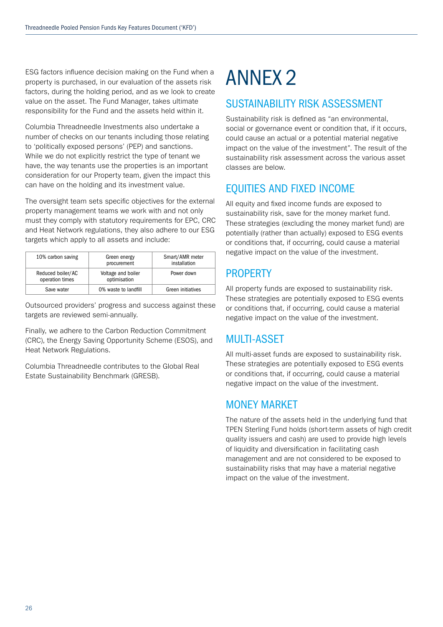ESG factors influence decision making on the Fund when a property is purchased, in our evaluation of the assets risk factors, during the holding period, and as we look to create value on the asset. The Fund Manager, takes ultimate responsibility for the Fund and the assets held within it.

Columbia Threadneedle Investments also undertake a number of checks on our tenants including those relating to 'politically exposed persons' (PEP) and sanctions. While we do not explicitly restrict the type of tenant we have, the way tenants use the properties is an important consideration for our Property team, given the impact this can have on the holding and its investment value.

The oversight team sets specific objectives for the external property management teams we work with and not only must they comply with statutory requirements for EPC, CRC and Heat Network regulations, they also adhere to our ESG targets which apply to all assets and include:

| 10% carbon saving                    | Green energy<br>procurement        | Smart/AMR meter<br>installation |
|--------------------------------------|------------------------------------|---------------------------------|
| Reduced boiler/AC<br>operation times | Voltage and boiler<br>optimisation | Power down                      |
| Save water                           | 0% waste to landfill               | Green initiatives               |

Outsourced providers' progress and success against these targets are reviewed semi-annually.

Finally, we adhere to the Carbon Reduction Commitment (CRC), the Energy Saving Opportunity Scheme (ESOS), and Heat Network Regulations.

Columbia Threadneedle contributes to the Global Real Estate Sustainability Benchmark (GRESB).

# ANNEX 2

## SUSTAINABILITY RISK ASSESSMENT

Sustainability risk is defined as "an environmental, social or governance event or condition that, if it occurs, could cause an actual or a potential material negative impact on the value of the investment". The result of the sustainability risk assessment across the various asset classes are below.

## EQUITIES AND FIXED INCOME

All equity and fixed income funds are exposed to sustainability risk, save for the money market fund. These strategies (excluding the money market fund) are potentially (rather than actually) exposed to ESG events or conditions that, if occurring, could cause a material negative impact on the value of the investment.

## **PROPERTY**

All property funds are exposed to sustainability risk. These strategies are potentially exposed to ESG events or conditions that, if occurring, could cause a material negative impact on the value of the investment.

## MULTI-ASSET

All multi-asset funds are exposed to sustainability risk. These strategies are potentially exposed to ESG events or conditions that, if occurring, could cause a material negative impact on the value of the investment.

## MONEY MARKET

The nature of the assets held in the underlying fund that TPEN Sterling Fund holds (short-term assets of high credit quality issuers and cash) are used to provide high levels of liquidity and diversification in facilitating cash management and are not considered to be exposed to sustainability risks that may have a material negative impact on the value of the investment.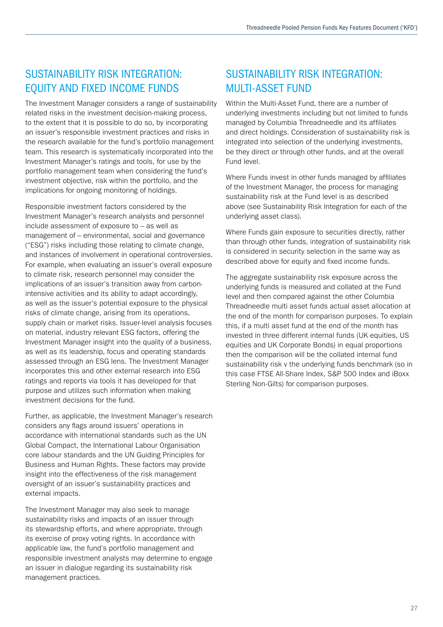## SUSTAINABILITY RISK INTEGRATION: EQUITY AND FIXED INCOME FUNDS

The Investment Manager considers a range of sustainability related risks in the investment decision-making process, to the extent that it is possible to do so, by incorporating an issuer's responsible investment practices and risks in the research available for the fund's portfolio management team. This research is systematically incorporated into the Investment Manager's ratings and tools, for use by the portfolio management team when considering the fund's investment objective, risk within the portfolio, and the implications for ongoing monitoring of holdings.

Responsible investment factors considered by the Investment Manager's research analysts and personnel include assessment of exposure to – as well as management of – environmental, social and governance ("ESG") risks including those relating to climate change, and instances of involvement in operational controversies. For example, when evaluating an issuer's overall exposure to climate risk, research personnel may consider the implications of an issuer's transition away from carbonintensive activities and its ability to adapt accordingly, as well as the issuer's potential exposure to the physical risks of climate change, arising from its operations, supply chain or market risks. Issuer-level analysis focuses on material, industry relevant ESG factors, offering the Investment Manager insight into the quality of a business, as well as its leadership, focus and operating standards assessed through an ESG lens. The Investment Manager incorporates this and other external research into ESG ratings and reports via tools it has developed for that purpose and utilizes such information when making investment decisions for the fund.

Further, as applicable, the Investment Manager's research considers any flags around issuers' operations in accordance with international standards such as the UN Global Compact, the International Labour Organisation core labour standards and the UN Guiding Principles for Business and Human Rights. These factors may provide insight into the effectiveness of the risk management oversight of an issuer's sustainability practices and external impacts.

The Investment Manager may also seek to manage sustainability risks and impacts of an issuer through its stewardship efforts, and where appropriate, through its exercise of proxy voting rights. In accordance with applicable law, the fund's portfolio management and responsible investment analysts may determine to engage an issuer in dialogue regarding its sustainability risk management practices.

## SUSTAINABILITY RISK INTEGRATION: MULTI-ASSET FUND

Within the Multi-Asset Fund, there are a number of underlying investments including but not limited to funds managed by Columbia Threadneedle and its affiliates and direct holdings. Consideration of sustainability risk is integrated into selection of the underlying investments, be they direct or through other funds, and at the overall Fund level.

Where Funds invest in other funds managed by affiliates of the Investment Manager, the process for managing sustainability risk at the Fund level is as described above (see Sustainability Risk Integration for each of the underlying asset class).

Where Funds gain exposure to securities directly, rather than through other funds, integration of sustainability risk is considered in security selection in the same way as described above for equity and fixed income funds.

The aggregate sustainability risk exposure across the underlying funds is measured and collated at the Fund level and then compared against the other Columbia Threadneedle multi asset funds actual asset allocation at the end of the month for comparison purposes. To explain this, if a multi asset fund at the end of the month has invested in three different internal funds (UK equities, US equities and UK Corporate Bonds) in equal proportions then the comparison will be the collated internal fund sustainability risk v the underlying funds benchmark (so in this case FTSE All-Share Index, S&P 500 Index and iBoxx Sterling Non-Gilts) for comparison purposes.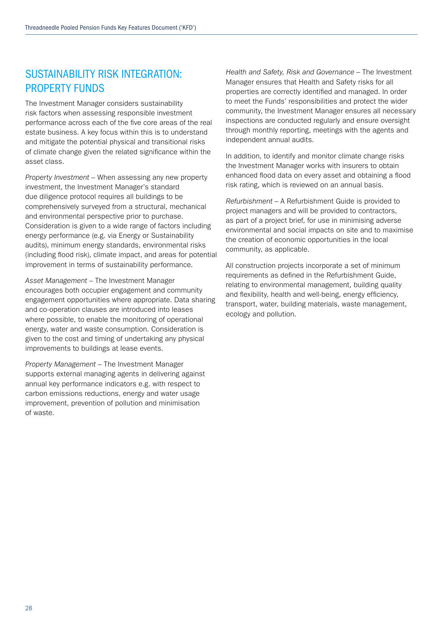## SUSTAINABILITY RISK INTEGRATION: PROPERTY FUNDS

The Investment Manager considers sustainability risk factors when assessing responsible investment performance across each of the five core areas of the real estate business. A key focus within this is to understand and mitigate the potential physical and transitional risks of climate change given the related significance within the asset class.

*Property Investment* – When assessing any new property investment, the Investment Manager's standard due diligence protocol requires all buildings to be comprehensively surveyed from a structural, mechanical and environmental perspective prior to purchase. Consideration is given to a wide range of factors including energy performance (e.g. via Energy or Sustainability audits), minimum energy standards, environmental risks (including flood risk), climate impact, and areas for potential improvement in terms of sustainability performance.

*Asset Management* – The Investment Manager encourages both occupier engagement and community engagement opportunities where appropriate. Data sharing and co-operation clauses are introduced into leases where possible, to enable the monitoring of operational energy, water and waste consumption. Consideration is given to the cost and timing of undertaking any physical improvements to buildings at lease events.

*Property Management* – The Investment Manager supports external managing agents in delivering against annual key performance indicators e.g. with respect to carbon emissions reductions, energy and water usage improvement, prevention of pollution and minimisation of waste.

*Health and Safety, Risk and Governance* – The Investment Manager ensures that Health and Safety risks for all properties are correctly identified and managed. In order to meet the Funds' responsibilities and protect the wider community, the Investment Manager ensures all necessary inspections are conducted regularly and ensure oversight through monthly reporting, meetings with the agents and independent annual audits.

In addition, to identify and monitor climate change risks the Investment Manager works with insurers to obtain enhanced flood data on every asset and obtaining a flood risk rating, which is reviewed on an annual basis.

*Refurbishment* – A Refurbishment Guide is provided to project managers and will be provided to contractors, as part of a project brief, for use in minimising adverse environmental and social impacts on site and to maximise the creation of economic opportunities in the local community, as applicable.

All construction projects incorporate a set of minimum requirements as defined in the Refurbishment Guide, relating to environmental management, building quality and flexibility, health and well-being, energy efficiency, transport, water, building materials, waste management, ecology and pollution.